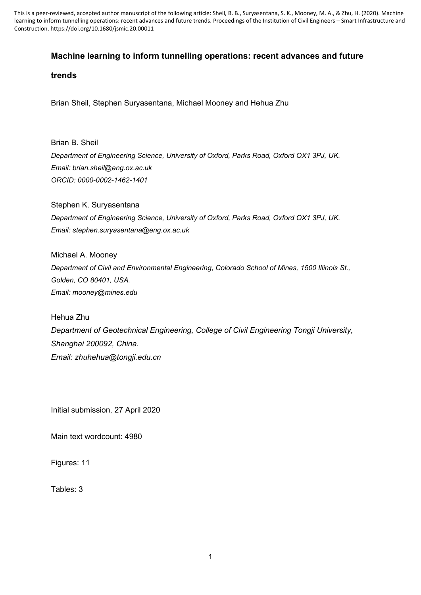This is a peer-reviewed, accepted author manuscript of the following article: Sheil, B. B., Suryasentana, S. K., Mooney, M. A., & Zhu, H. (2020). Machine learning to inform tunnelling operations: recent advances and future trends. Proceedings of the Institution of Civil Engineers – Smart Infrastructure and Construction. https://doi.org/10.1680/jsmic.20.00011

# **Machine learning to inform tunnelling operations: recent advances and future**

## **trends**

Brian Sheil, Stephen Suryasentana, Michael Mooney and Hehua Zhu

Brian B. Sheil *Department of Engineering Science, University of Oxford, Parks Road, Oxford OX1 3PJ, UK. Email: brian.sheil@eng.ox.ac.uk ORCID: 0000-0002-1462-1401*

Stephen K. Suryasentana *Department of Engineering Science, University of Oxford, Parks Road, Oxford OX1 3PJ, UK. Email: stephen.suryasentana@eng.ox.ac.uk*

Michael A. Mooney *Department of Civil and Environmental Engineering, Colorado School of Mines, 1500 Illinois St., Golden, CO 80401, USA. Email: mooney@mines.edu*

Hehua Zhu *Department of Geotechnical Engineering, College of Civil Engineering Tongji University, Shanghai 200092, China. Email: zhuhehua@tongji.edu.cn*

Initial submission, 27 April 2020

Main text wordcount: 4980

Figures: 11

Tables: 3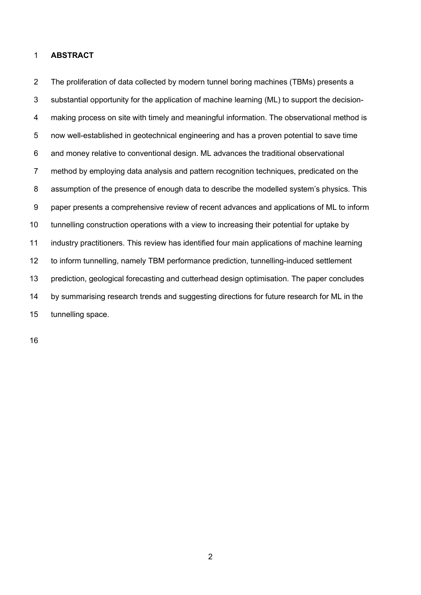## **ABSTRACT**

 The proliferation of data collected by modern tunnel boring machines (TBMs) presents a substantial opportunity for the application of machine learning (ML) to support the decision-4 making process on site with timely and meaningful information. The observational method is now well-established in geotechnical engineering and has a proven potential to save time and money relative to conventional design. ML advances the traditional observational method by employing data analysis and pattern recognition techniques, predicated on the assumption of the presence of enough data to describe the modelled system's physics. This paper presents a comprehensive review of recent advances and applications of ML to inform tunnelling construction operations with a view to increasing their potential for uptake by industry practitioners. This review has identified four main applications of machine learning to inform tunnelling, namely TBM performance prediction, tunnelling-induced settlement prediction, geological forecasting and cutterhead design optimisation. The paper concludes 14 by summarising research trends and suggesting directions for future research for ML in the tunnelling space.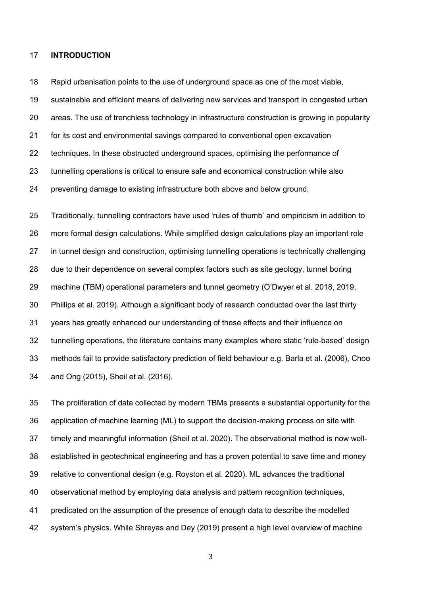#### **INTRODUCTION**

Rapid urbanisation points to the use of underground space as one of the most viable,

sustainable and efficient means of delivering new services and transport in congested urban

- areas. The use of trenchless technology in infrastructure construction is growing in popularity
- for its cost and environmental savings compared to conventional open excavation
- techniques. In these obstructed underground spaces, optimising the performance of
- tunnelling operations is critical to ensure safe and economical construction while also
- preventing damage to existing infrastructure both above and below ground.

 Traditionally, tunnelling contractors have used 'rules of thumb' and empiricism in addition to more formal design calculations. While simplified design calculations play an important role in tunnel design and construction, optimising tunnelling operations is technically challenging due to their dependence on several complex factors such as site geology, tunnel boring machine (TBM) operational parameters and tunnel geometry (O'Dwyer et al. 2018, 2019, Phillips et al. 2019). Although a significant body of research conducted over the last thirty years has greatly enhanced our understanding of these effects and their influence on tunnelling operations, the literature contains many examples where static 'rule-based' design methods fail to provide satisfactory prediction of field behaviour e.g. Barla et al. (2006), Choo and Ong (2015), Sheil et al. (2016).

 The proliferation of data collected by modern TBMs presents a substantial opportunity for the application of machine learning (ML) to support the decision-making process on site with timely and meaningful information (Sheil et al. 2020). The observational method is now well- established in geotechnical engineering and has a proven potential to save time and money relative to conventional design (e.g. Royston et al. 2020). ML advances the traditional observational method by employing data analysis and pattern recognition techniques, predicated on the assumption of the presence of enough data to describe the modelled system's physics. While Shreyas and Dey (2019) present a high level overview of machine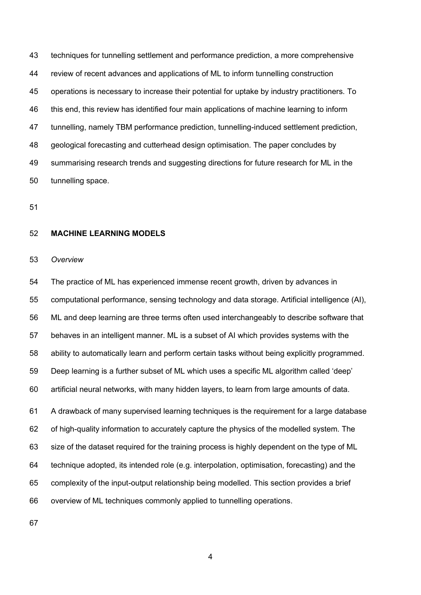techniques for tunnelling settlement and performance prediction, a more comprehensive review of recent advances and applications of ML to inform tunnelling construction operations is necessary to increase their potential for uptake by industry practitioners. To this end, this review has identified four main applications of machine learning to inform tunnelling, namely TBM performance prediction, tunnelling-induced settlement prediction, geological forecasting and cutterhead design optimisation. The paper concludes by summarising research trends and suggesting directions for future research for ML in the tunnelling space.

### **MACHINE LEARNING MODELS**

#### *Overview*

 The practice of ML has experienced immense recent growth, driven by advances in computational performance, sensing technology and data storage. Artificial intelligence (AI), ML and deep learning are three terms often used interchangeably to describe software that behaves in an intelligent manner. ML is a subset of AI which provides systems with the ability to automatically learn and perform certain tasks without being explicitly programmed. Deep learning is a further subset of ML which uses a specific ML algorithm called 'deep' artificial neural networks, with many hidden layers, to learn from large amounts of data. A drawback of many supervised learning techniques is the requirement for a large database of high-quality information to accurately capture the physics of the modelled system. The size of the dataset required for the training process is highly dependent on the type of ML technique adopted, its intended role (e.g. interpolation, optimisation, forecasting) and the complexity of the input-output relationship being modelled. This section provides a brief overview of ML techniques commonly applied to tunnelling operations.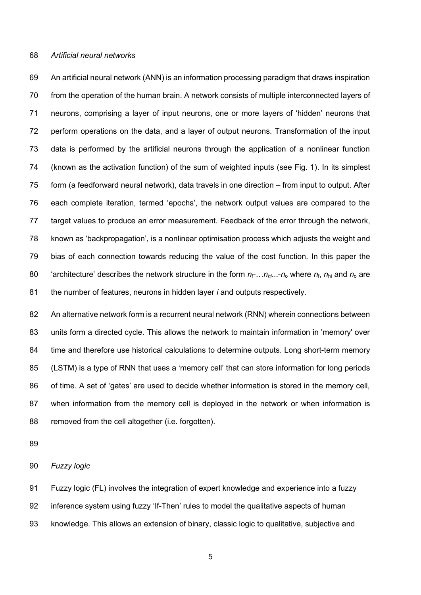#### *Artificial neural networks*

 An artificial neural network (ANN) is an information processing paradigm that draws inspiration from the operation of the human brain. A network consists of multiple interconnected layers of neurons, comprising a layer of input neurons, one or more layers of 'hidden' neurons that perform operations on the data, and a layer of output neurons. Transformation of the input data is performed by the artificial neurons through the application of a nonlinear function (known as the activation function) of the sum of weighted inputs (see Fig. 1). In its simplest 75 form (a feedforward neural network), data travels in one direction – from input to output. After each complete iteration, termed 'epochs', the network output values are compared to the target values to produce an error measurement. Feedback of the error through the network, known as 'backpropagation', is a nonlinear optimisation process which adjusts the weight and bias of each connection towards reducing the value of the cost function. In this paper the 80 'architecture' describes the network structure in the form  $n_f$ .... $n_h$ ...- $n_o$  where  $n_f$ ,  $n_{hi}$  and  $n_o$  are the number of features, neurons in hidden layer *i* and outputs respectively.

82 An alternative network form is a recurrent neural network (RNN) wherein connections between units form a directed cycle. This allows the network to maintain information in 'memory' over 84 time and therefore use historical calculations to determine outputs. Long short-term memory (LSTM) is a type of RNN that uses a 'memory cell' that can store information for long periods of time. A set of 'gates' are used to decide whether information is stored in the memory cell, when information from the memory cell is deployed in the network or when information is 88 removed from the cell altogether (i.e. forgotten).

#### *Fuzzy logic*

 Fuzzy logic (FL) involves the integration of expert knowledge and experience into a fuzzy inference system using fuzzy 'If-Then' rules to model the qualitative aspects of human knowledge. This allows an extension of binary, classic logic to qualitative, subjective and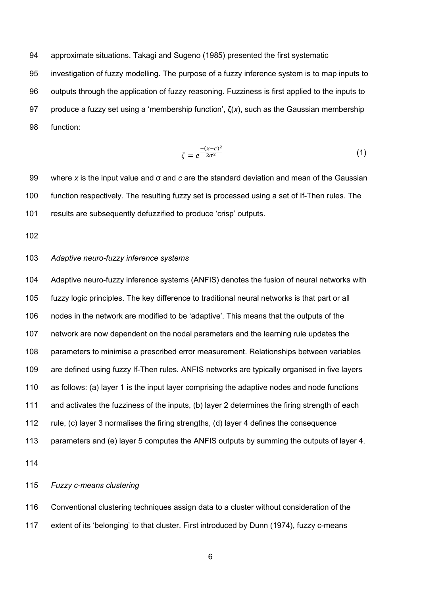approximate situations. Takagi and Sugeno (1985) presented the first systematic

 investigation of fuzzy modelling. The purpose of a fuzzy inference system is to map inputs to outputs through the application of fuzzy reasoning. Fuzziness is first applied to the inputs to produce a fuzzy set using a 'membership function', ζ(*x*), such as the Gaussian membership function:

$$
\zeta = e^{\frac{-(x-c)^2}{2\sigma^2}}\tag{1}
$$

 where *x* is the input value and σ and *c* are the standard deviation and mean of the Gaussian function respectively. The resulting fuzzy set is processed using a set of If-Then rules. The results are subsequently defuzzified to produce 'crisp' outputs.

# *Adaptive neuro-fuzzy inference systems*

 Adaptive neuro-fuzzy inference systems (ANFIS) denotes the fusion of neural networks with fuzzy logic principles. The key difference to traditional neural networks is that part or all nodes in the network are modified to be 'adaptive'. This means that the outputs of the network are now dependent on the nodal parameters and the learning rule updates the parameters to minimise a prescribed error measurement. Relationships between variables are defined using fuzzy If-Then rules. ANFIS networks are typically organised in five layers as follows: (a) layer 1 is the input layer comprising the adaptive nodes and node functions and activates the fuzziness of the inputs, (b) layer 2 determines the firing strength of each rule, (c) layer 3 normalises the firing strengths, (d) layer 4 defines the consequence 113 parameters and (e) layer 5 computes the ANFIS outputs by summing the outputs of layer 4. 

*Fuzzy c-means clustering*

 Conventional clustering techniques assign data to a cluster without consideration of the extent of its 'belonging' to that cluster. First introduced by Dunn (1974), fuzzy c-means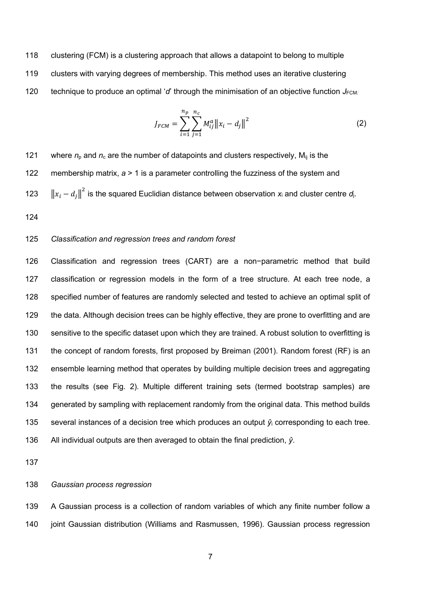clustering (FCM) is a clustering approach that allows a datapoint to belong to multiple clusters with varying degrees of membership. This method uses an iterative clustering 120 technique to produce an optimal ' $d'$  through the minimisation of an objective function  $J_{FCM}$ :

$$
J_{FCM} = \sum_{i=1}^{n_p} \sum_{j=1}^{n_c} M_{ij}^a ||x_i - d_j||^2
$$
 (2)

121 where  $n_p$  and  $n_c$  are the number of datapoints and clusters respectively,  $M_{ij}$  is the membership matrix, *a* > 1 is a parameter controlling the fuzziness of the system and 123  $\left\| x_i - d_j \right\|^2$  is the squared Euclidian distance between observation  $x_i$  and cluster centre  $d_i$ .

## *Classification and regression trees and random forest*

 Classification and regression trees (CART) are a non−parametric method that build classification or regression models in the form of a tree structure. At each tree node, a specified number of features are randomly selected and tested to achieve an optimal split of 129 the data. Although decision trees can be highly effective, they are prone to overfitting and are sensitive to the specific dataset upon which they are trained. A robust solution to overfitting is the concept of random forests, first proposed by Breiman (2001). Random forest (RF) is an ensemble learning method that operates by building multiple decision trees and aggregating the results (see Fig. 2). Multiple different training sets (termed bootstrap samples) are generated by sampling with replacement randomly from the original data. This method builds 135 several instances of a decision tree which produces an output  $\hat{y}_i$  corresponding to each tree. All individual outputs are then averaged to obtain the final prediction, *ŷ*.

## *Gaussian process regression*

 A Gaussian process is a collection of random variables of which any finite number follow a joint Gaussian distribution (Williams and Rasmussen, 1996). Gaussian process regression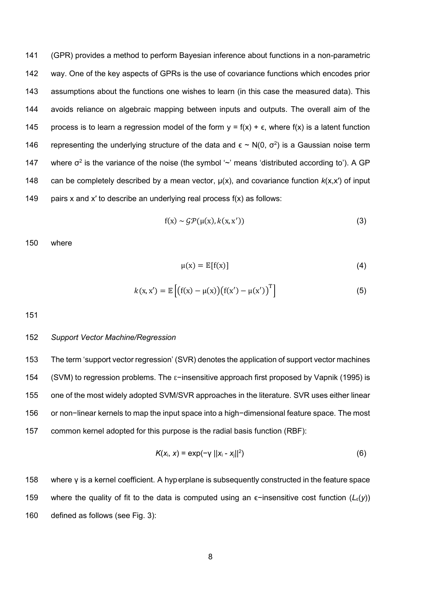141 (GPR) provides a method to perform Bayesian inference about functions in a non-parametric 142 way. One of the key aspects of GPRs is the use of covariance functions which encodes prior 143 assumptions about the functions one wishes to learn (in this case the measured data). This 144 avoids reliance on algebraic mapping between inputs and outputs. The overall aim of the 145 process is to learn a regression model of the form  $y = f(x) + \epsilon$ , where  $f(x)$  is a latent function 146 representing the underlying structure of the data and  $\epsilon \sim N(0, \sigma^2)$  is a Gaussian noise term 147 where  $\sigma^2$  is the variance of the noise (the symbol '~' means 'distributed according to'). A GP 148 can be completely described by a mean vector,  $\mu(x)$ , and covariance function  $k(x,x')$  of input 149 pairs x and x' to describe an underlying real process  $f(x)$  as follows:

$$
f(x) \sim \mathcal{GP}(\mu(x), k(x, x')) \tag{3}
$$

150 where

$$
\mu(x) = \mathbb{E}[f(x)] \tag{4}
$$

$$
k(x, x') = \mathbb{E}\left[\left(f(x) - \mu(x)\right)\left(f(x') - \mu(x')\right)^{T}\right]
$$
\n(5)

151

### 152 *Support Vector Machine/Regression*

 The term 'support vector regression' (SVR) denotes the application of support vector machines (SVM) to regression problems. The ε−insensitive approach first proposed by Vapnik (1995) is one of the most widely adopted SVM/SVR approaches in the literature. SVR uses either linear or non−linear kernels to map the input space into a high−dimensional feature space. The most common kernel adopted for this purpose is the radial basis function (RBF):

$$
K(x_i, x) = \exp(-\gamma ||x_i - x_j||^2)
$$
 (6)

158 where γ is a kernel coefficient. A hyperplane is subsequently constructed in the feature space 159 where the quality of fit to the data is computed using an ϵ−insensitive cost function (*L*ε(*y*)) 160 defined as follows (see Fig. 3):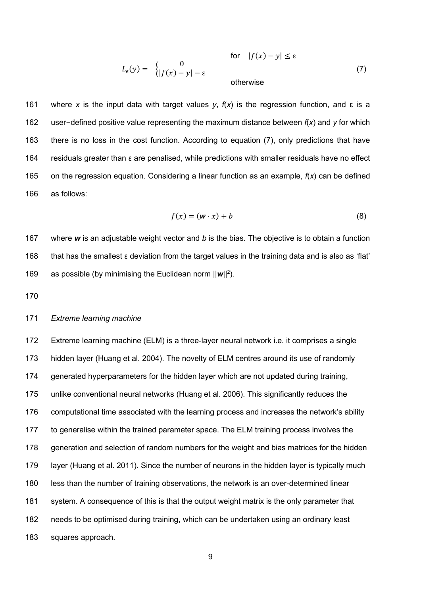$$
L_{\epsilon}(y) = \begin{cases} 0 & \text{for } |f(x) - y| \le \epsilon \\ |f(x) - y| - \epsilon & \text{otherwise} \end{cases}
$$
(7)

 where *x* is the input data with target values *y*, *f*(*x*) is the regression function, and ε is a user−defined positive value representing the maximum distance between *f*(*x*) and *y* for which there is no loss in the cost function. According to equation (7), only predictions that have residuals greater than ε are penalised, while predictions with smaller residuals have no effect on the regression equation. Considering a linear function as an example, *f*(*x*) can be defined as follows:

$$
f(x) = (w \cdot x) + b \tag{8}
$$

 where *w* is an adjustable weight vector and *b* is the bias. The objective is to obtain a function that has the smallest ε deviation from the target values in the training data and is also as 'flat' 169 as possible (by minimising the Euclidean norm  $||w||^2$ ).

### *Extreme learning machine*

 Extreme learning machine (ELM) is a three-layer neural network i.e. it comprises a single hidden layer (Huang et al. 2004). The novelty of ELM centres around its use of randomly generated hyperparameters for the hidden layer which are not updated during training, unlike conventional neural networks (Huang et al. 2006). This significantly reduces the computational time associated with the learning process and increases the network's ability to generalise within the trained parameter space. The ELM training process involves the generation and selection of random numbers for the weight and bias matrices for the hidden layer (Huang et al. 2011). Since the number of neurons in the hidden layer is typically much less than the number of training observations, the network is an over-determined linear system. A consequence of this is that the output weight matrix is the only parameter that needs to be optimised during training, which can be undertaken using an ordinary least squares approach.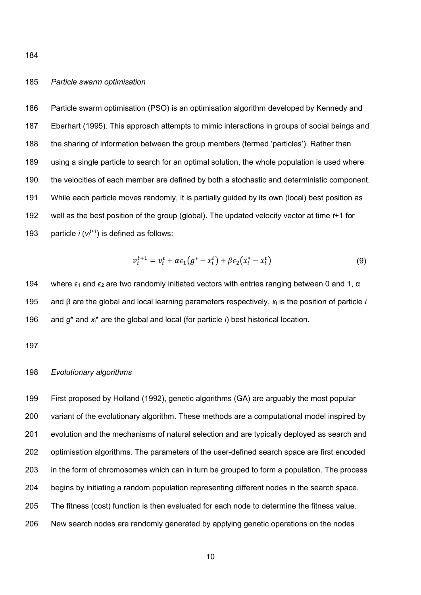# *Particle swarm optimisation*

 Particle swarm optimisation (PSO) is an optimisation algorithm developed by Kennedy and Eberhart (1995). This approach attempts to mimic interactions in groups of social beings and the sharing of information between the group members (termed 'particles'). Rather than using a single particle to search for an optimal solution, the whole population is used where the velocities of each member are defined by both a stochastic and deterministic component. While each particle moves randomly, it is partially guided by its own (local) best position as well as the best position of the group (global). The updated velocity vector at time *t*+1 for 193 particle  $i (v_i^{t+1})$  is defined as follows:

$$
v_i^{t+1} = v_i^t + \alpha \epsilon_1 (g^* - x_i^t) + \beta \epsilon_2 (x_i^* - x_i^t)
$$
\n
$$
(9)
$$

194 where  $\epsilon_1$  and  $\epsilon_2$  are two randomly initiated vectors with entries ranging between 0 and 1,  $\alpha$  and β are the global and local learning parameters respectively, *x*<sup>i</sup> is the position of particle *i* and *g*\* and *x*i\* are the global and local (for particle *i*) best historical location.

### *Evolutionary algorithms*

 First proposed by Holland (1992), genetic algorithms (GA) are arguably the most popular variant of the evolutionary algorithm. These methods are a computational model inspired by evolution and the mechanisms of natural selection and are typically deployed as search and optimisation algorithms. The parameters of the user-defined search space are first encoded in the form of chromosomes which can in turn be grouped to form a population. The process begins by initiating a random population representing different nodes in the search space. The fitness (cost) function is then evaluated for each node to determine the fitness value. New search nodes are randomly generated by applying genetic operations on the nodes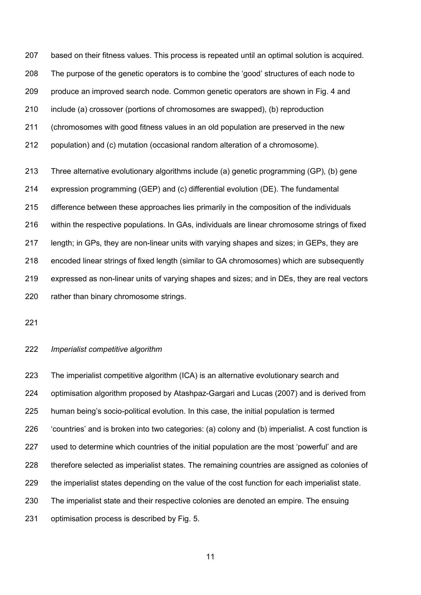based on their fitness values. This process is repeated until an optimal solution is acquired. The purpose of the genetic operators is to combine the 'good' structures of each node to produce an improved search node. Common genetic operators are shown in Fig. 4 and include (a) crossover (portions of chromosomes are swapped), (b) reproduction (chromosomes with good fitness values in an old population are preserved in the new population) and (c) mutation (occasional random alteration of a chromosome). Three alternative evolutionary algorithms include (a) genetic programming (GP), (b) gene expression programming (GEP) and (c) differential evolution (DE). The fundamental difference between these approaches lies primarily in the composition of the individuals within the respective populations. In GAs, individuals are linear chromosome strings of fixed length; in GPs, they are non-linear units with varying shapes and sizes; in GEPs, they are encoded linear strings of fixed length (similar to GA chromosomes) which are subsequently

 expressed as non-linear units of varying shapes and sizes; and in DEs, they are real vectors rather than binary chromosome strings.

#### *Imperialist competitive algorithm*

 The imperialist competitive algorithm (ICA) is an alternative evolutionary search and optimisation algorithm proposed by Atashpaz-Gargari and Lucas (2007) and is derived from human being's socio-political evolution. In this case, the initial population is termed 'countries' and is broken into two categories: (a) colony and (b) imperialist. A cost function is used to determine which countries of the initial population are the most 'powerful' and are therefore selected as imperialist states. The remaining countries are assigned as colonies of the imperialist states depending on the value of the cost function for each imperialist state. The imperialist state and their respective colonies are denoted an empire. The ensuing optimisation process is described by Fig. 5.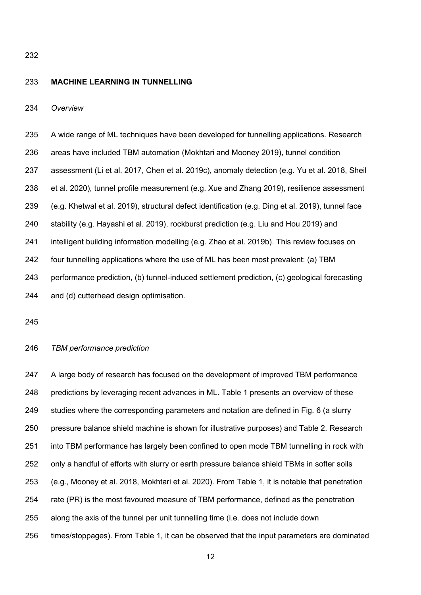## **MACHINE LEARNING IN TUNNELLING**

*Overview*

 A wide range of ML techniques have been developed for tunnelling applications. Research areas have included TBM automation (Mokhtari and Mooney 2019), tunnel condition assessment (Li et al. 2017, Chen et al. 2019c), anomaly detection (e.g. Yu et al. 2018, Sheil et al. 2020), tunnel profile measurement (e.g. Xue and Zhang 2019), resilience assessment (e.g. Khetwal et al. 2019), structural defect identification (e.g. Ding et al. 2019), tunnel face stability (e.g. Hayashi et al. 2019), rockburst prediction (e.g. Liu and Hou 2019) and intelligent building information modelling (e.g. Zhao et al. 2019b). This review focuses on four tunnelling applications where the use of ML has been most prevalent: (a) TBM performance prediction, (b) tunnel-induced settlement prediction, (c) geological forecasting and (d) cutterhead design optimisation.

### *TBM performance prediction*

247 A large body of research has focused on the development of improved TBM performance predictions by leveraging recent advances in ML. Table 1 presents an overview of these studies where the corresponding parameters and notation are defined in Fig. 6 (a slurry pressure balance shield machine is shown for illustrative purposes) and Table 2. Research into TBM performance has largely been confined to open mode TBM tunnelling in rock with only a handful of efforts with slurry or earth pressure balance shield TBMs in softer soils (e.g., Mooney et al. 2018, Mokhtari et al. 2020). From Table 1, it is notable that penetration rate (PR) is the most favoured measure of TBM performance, defined as the penetration along the axis of the tunnel per unit tunnelling time (i.e. does not include down times/stoppages). From Table 1, it can be observed that the input parameters are dominated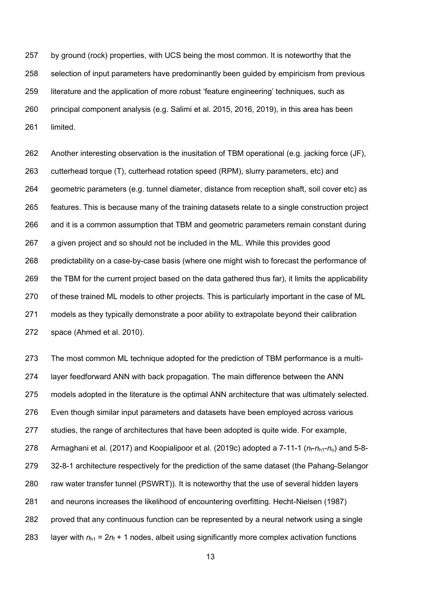by ground (rock) properties, with UCS being the most common. It is noteworthy that the selection of input parameters have predominantly been guided by empiricism from previous literature and the application of more robust 'feature engineering' techniques, such as principal component analysis (e.g. Salimi et al. 2015, 2016, 2019), in this area has been limited.

 Another interesting observation is the inusitation of TBM operational (e.g. jacking force (JF), cutterhead torque (T), cutterhead rotation speed (RPM), slurry parameters, etc) and geometric parameters (e.g. tunnel diameter, distance from reception shaft, soil cover etc) as features. This is because many of the training datasets relate to a single construction project and it is a common assumption that TBM and geometric parameters remain constant during a given project and so should not be included in the ML. While this provides good predictability on a case-by-case basis (where one might wish to forecast the performance of the TBM for the current project based on the data gathered thus far), it limits the applicability of these trained ML models to other projects. This is particularly important in the case of ML models as they typically demonstrate a poor ability to extrapolate beyond their calibration space (Ahmed et al. 2010).

 The most common ML technique adopted for the prediction of TBM performance is a multi- layer feedforward ANN with back propagation. The main difference between the ANN models adopted in the literature is the optimal ANN architecture that was ultimately selected. Even though similar input parameters and datasets have been employed across various studies, the range of architectures that have been adopted is quite wide. For example, 278 Armaghani et al. (2017) and Koopialipoor et al. (2019c) adopted a 7-11-1 ( $n_f$ - $n_{h1}$ - $n_o$ ) and 5-8- 32-8-1 architecture respectively for the prediction of the same dataset (the Pahang-Selangor raw water transfer tunnel (PSWRT)). It is noteworthy that the use of several hidden layers and neurons increases the likelihood of encountering overfitting. Hecht-Nielsen (1987) proved that any continuous function can be represented by a neural network using a single 283 layer with  $n_{h1} = 2n_f + 1$  nodes, albeit using significantly more complex activation functions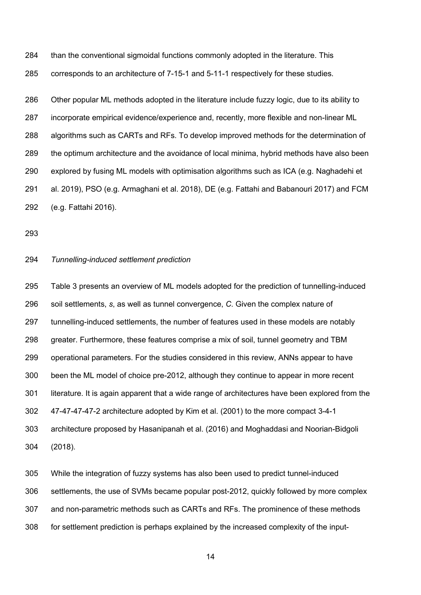than the conventional sigmoidal functions commonly adopted in the literature. This corresponds to an architecture of 7-15-1 and 5-11-1 respectively for these studies.

 Other popular ML methods adopted in the literature include fuzzy logic, due to its ability to incorporate empirical evidence/experience and, recently, more flexible and non-linear ML algorithms such as CARTs and RFs. To develop improved methods for the determination of the optimum architecture and the avoidance of local minima, hybrid methods have also been explored by fusing ML models with optimisation algorithms such as ICA (e.g. Naghadehi et al. 2019), PSO (e.g. Armaghani et al. 2018), DE (e.g. Fattahi and Babanouri 2017) and FCM (e.g. Fattahi 2016).

# *Tunnelling-induced settlement prediction*

 Table 3 presents an overview of ML models adopted for the prediction of tunnelling-induced soil settlements, *s*, as well as tunnel convergence, *C*. Given the complex nature of tunnelling-induced settlements, the number of features used in these models are notably greater. Furthermore, these features comprise a mix of soil, tunnel geometry and TBM operational parameters. For the studies considered in this review, ANNs appear to have been the ML model of choice pre-2012, although they continue to appear in more recent literature. It is again apparent that a wide range of architectures have been explored from the 47-47-47-47-2 architecture adopted by Kim et al. (2001) to the more compact 3-4-1 architecture proposed by Hasanipanah et al. (2016) and Moghaddasi and Noorian-Bidgoli (2018).

 While the integration of fuzzy systems has also been used to predict tunnel-induced settlements, the use of SVMs became popular post-2012, quickly followed by more complex and non-parametric methods such as CARTs and RFs. The prominence of these methods for settlement prediction is perhaps explained by the increased complexity of the input-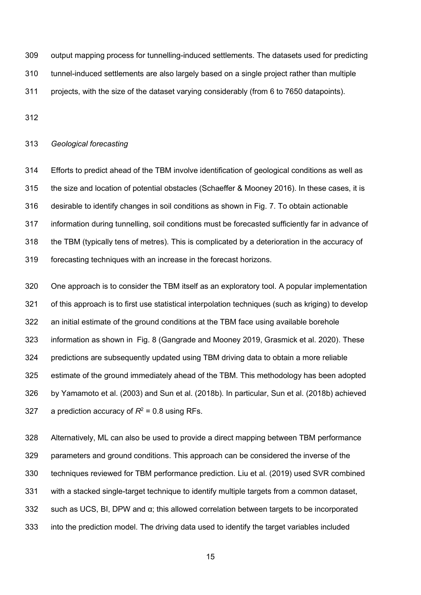output mapping process for tunnelling-induced settlements. The datasets used for predicting tunnel-induced settlements are also largely based on a single project rather than multiple projects, with the size of the dataset varying considerably (from 6 to 7650 datapoints).

## *Geological forecasting*

 Efforts to predict ahead of the TBM involve identification of geological conditions as well as the size and location of potential obstacles (Schaeffer & Mooney 2016). In these cases, it is desirable to identify changes in soil conditions as shown in Fig. 7. To obtain actionable information during tunnelling, soil conditions must be forecasted sufficiently far in advance of the TBM (typically tens of metres). This is complicated by a deterioration in the accuracy of forecasting techniques with an increase in the forecast horizons.

 One approach is to consider the TBM itself as an exploratory tool. A popular implementation of this approach is to first use statistical interpolation techniques (such as kriging) to develop an initial estimate of the ground conditions at the TBM face using available borehole information as shown in Fig. 8 (Gangrade and Mooney 2019, Grasmick et al. 2020). These predictions are subsequently updated using TBM driving data to obtain a more reliable estimate of the ground immediately ahead of the TBM. This methodology has been adopted by Yamamoto et al. (2003) and Sun et al. (2018b). In particular, Sun et al. (2018b) achieved  $\alpha$  prediction accuracy of  $R^2 = 0.8$  using RFs.

 Alternatively, ML can also be used to provide a direct mapping between TBM performance parameters and ground conditions. This approach can be considered the inverse of the techniques reviewed for TBM performance prediction. Liu et al. (2019) used SVR combined with a stacked single-target technique to identify multiple targets from a common dataset, 332 such as UCS, BI, DPW and  $\alpha$ ; this allowed correlation between targets to be incorporated into the prediction model. The driving data used to identify the target variables included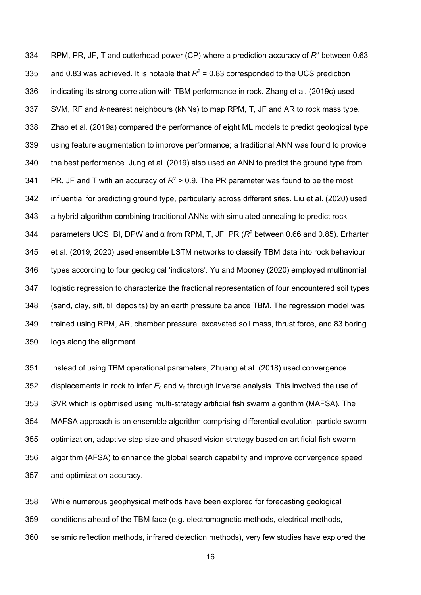334 RPM, PR, JF, T and cutterhead power (CP) where a prediction accuracy of  $R^2$  between 0.63 335 and 0.83 was achieved. It is notable that  $R^2$  = 0.83 corresponded to the UCS prediction indicating its strong correlation with TBM performance in rock. Zhang et al. (2019c) used SVM, RF and *k*-nearest neighbours (kNNs) to map RPM, T, JF and AR to rock mass type. Zhao et al. (2019a) compared the performance of eight ML models to predict geological type using feature augmentation to improve performance; a traditional ANN was found to provide the best performance. Jung et al. (2019) also used an ANN to predict the ground type from 341 PR, JF and T with an accuracy of  $R^2 > 0.9$ . The PR parameter was found to be the most influential for predicting ground type, particularly across different sites. Liu et al. (2020) used a hybrid algorithm combining traditional ANNs with simulated annealing to predict rock 344 parameters UCS, BI, DPW and α from RPM, T, JF, PR  $(R<sup>2</sup>$  between 0.66 and 0.85). Erharter et al. (2019, 2020) used ensemble LSTM networks to classify TBM data into rock behaviour types according to four geological 'indicators'. Yu and Mooney (2020) employed multinomial logistic regression to characterize the fractional representation of four encountered soil types (sand, clay, silt, till deposits) by an earth pressure balance TBM. The regression model was trained using RPM, AR, chamber pressure, excavated soil mass, thrust force, and 83 boring logs along the alignment.

 Instead of using TBM operational parameters, Zhuang et al. (2018) used convergence 352 displacements in rock to infer  $E_s$  and  $v_s$  through inverse analysis. This involved the use of SVR which is optimised using multi-strategy artificial fish swarm algorithm (MAFSA). The MAFSA approach is an ensemble algorithm comprising differential evolution, particle swarm optimization, adaptive step size and phased vision strategy based on artificial fish swarm algorithm (AFSA) to enhance the global search capability and improve convergence speed and optimization accuracy.

 While numerous geophysical methods have been explored for forecasting geological conditions ahead of the TBM face (e.g. electromagnetic methods, electrical methods, seismic reflection methods, infrared detection methods), very few studies have explored the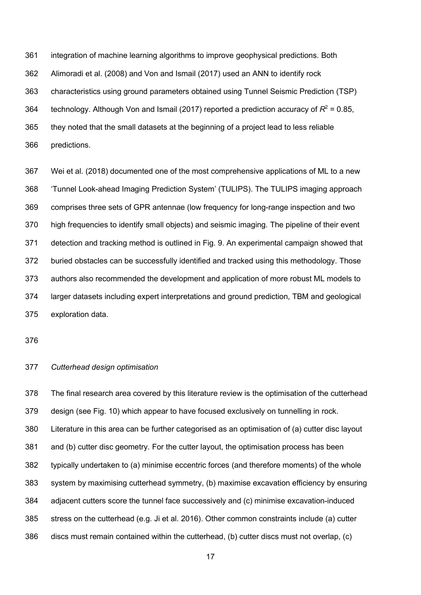integration of machine learning algorithms to improve geophysical predictions. Both

Alimoradi et al. (2008) and Von and Ismail (2017) used an ANN to identify rock

characteristics using ground parameters obtained using Tunnel Seismic Prediction (TSP)

364 technology. Although Von and Ismail (2017) reported a prediction accuracy of  $R^2 = 0.85$ ,

they noted that the small datasets at the beginning of a project lead to less reliable

predictions.

 Wei et al. (2018) documented one of the most comprehensive applications of ML to a new 'Tunnel Look-ahead Imaging Prediction System' (TULIPS). The TULIPS imaging approach comprises three sets of GPR antennae (low frequency for long-range inspection and two high frequencies to identify small objects) and seismic imaging. The pipeline of their event detection and tracking method is outlined in Fig. 9. An experimental campaign showed that buried obstacles can be successfully identified and tracked using this methodology. Those authors also recommended the development and application of more robust ML models to larger datasets including expert interpretations and ground prediction, TBM and geological exploration data.

# *Cutterhead design optimisation*

 The final research area covered by this literature review is the optimisation of the cutterhead design (see Fig. 10) which appear to have focused exclusively on tunnelling in rock. Literature in this area can be further categorised as an optimisation of (a) cutter disc layout and (b) cutter disc geometry. For the cutter layout, the optimisation process has been typically undertaken to (a) minimise eccentric forces (and therefore moments) of the whole system by maximising cutterhead symmetry, (b) maximise excavation efficiency by ensuring adjacent cutters score the tunnel face successively and (c) minimise excavation-induced stress on the cutterhead (e.g. Ji et al. 2016). Other common constraints include (a) cutter discs must remain contained within the cutterhead, (b) cutter discs must not overlap, (c)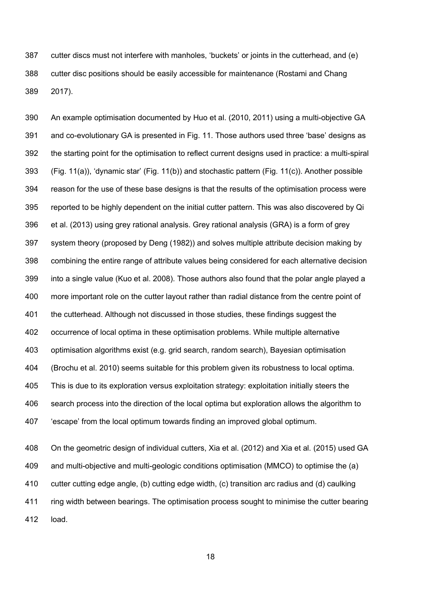cutter discs must not interfere with manholes, 'buckets' or joints in the cutterhead, and (e) cutter disc positions should be easily accessible for maintenance (Rostami and Chang 2017).

 An example optimisation documented by Huo et al. (2010, 2011) using a multi-objective GA and co-evolutionary GA is presented in Fig. 11. Those authors used three 'base' designs as the starting point for the optimisation to reflect current designs used in practice: a multi-spiral (Fig. 11(a)), 'dynamic star' (Fig. 11(b)) and stochastic pattern (Fig. 11(c)). Another possible reason for the use of these base designs is that the results of the optimisation process were reported to be highly dependent on the initial cutter pattern. This was also discovered by Qi et al. (2013) using grey rational analysis. Grey rational analysis (GRA) is a form of grey system theory (proposed by Deng (1982)) and solves multiple attribute decision making by combining the entire range of attribute values being considered for each alternative decision into a single value (Kuo et al. 2008). Those authors also found that the polar angle played a more important role on the cutter layout rather than radial distance from the centre point of the cutterhead. Although not discussed in those studies, these findings suggest the occurrence of local optima in these optimisation problems. While multiple alternative optimisation algorithms exist (e.g. grid search, random search), Bayesian optimisation (Brochu et al. 2010) seems suitable for this problem given its robustness to local optima. This is due to its exploration versus exploitation strategy: exploitation initially steers the search process into the direction of the local optima but exploration allows the algorithm to 'escape' from the local optimum towards finding an improved global optimum.

 On the geometric design of individual cutters, Xia et al. (2012) and Xia et al. (2015) used GA and multi-objective and multi-geologic conditions optimisation (MMCO) to optimise the (a) cutter cutting edge angle, (b) cutting edge width, (c) transition arc radius and (d) caulking ring width between bearings. The optimisation process sought to minimise the cutter bearing load.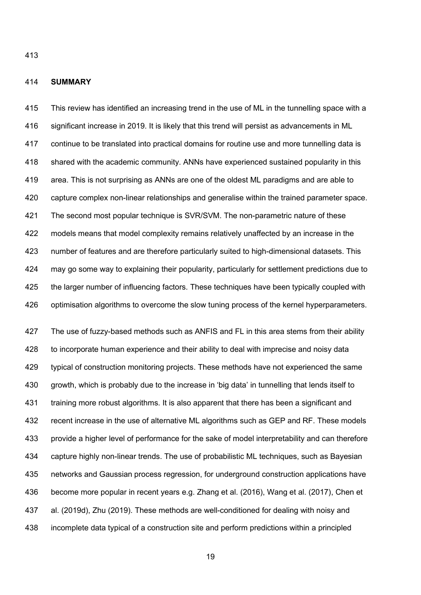## **SUMMARY**

 This review has identified an increasing trend in the use of ML in the tunnelling space with a significant increase in 2019. It is likely that this trend will persist as advancements in ML continue to be translated into practical domains for routine use and more tunnelling data is shared with the academic community. ANNs have experienced sustained popularity in this area. This is not surprising as ANNs are one of the oldest ML paradigms and are able to capture complex non-linear relationships and generalise within the trained parameter space. The second most popular technique is SVR/SVM. The non-parametric nature of these models means that model complexity remains relatively unaffected by an increase in the number of features and are therefore particularly suited to high-dimensional datasets. This may go some way to explaining their popularity, particularly for settlement predictions due to 425 the larger number of influencing factors. These techniques have been typically coupled with 426 optimisation algorithms to overcome the slow tuning process of the kernel hyperparameters.

427 The use of fuzzy-based methods such as ANFIS and FL in this area stems from their ability to incorporate human experience and their ability to deal with imprecise and noisy data typical of construction monitoring projects. These methods have not experienced the same growth, which is probably due to the increase in 'big data' in tunnelling that lends itself to training more robust algorithms. It is also apparent that there has been a significant and 432 recent increase in the use of alternative ML algorithms such as GEP and RF. These models provide a higher level of performance for the sake of model interpretability and can therefore capture highly non-linear trends. The use of probabilistic ML techniques, such as Bayesian networks and Gaussian process regression, for underground construction applications have become more popular in recent years e.g. Zhang et al. (2016), Wang et al. (2017), Chen et al. (2019d), Zhu (2019). These methods are well-conditioned for dealing with noisy and incomplete data typical of a construction site and perform predictions within a principled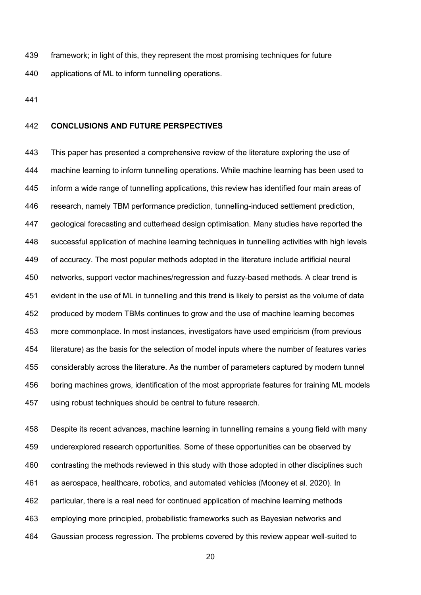framework; in light of this, they represent the most promising techniques for future applications of ML to inform tunnelling operations.

## **CONCLUSIONS AND FUTURE PERSPECTIVES**

 This paper has presented a comprehensive review of the literature exploring the use of machine learning to inform tunnelling operations. While machine learning has been used to inform a wide range of tunnelling applications, this review has identified four main areas of research, namely TBM performance prediction, tunnelling-induced settlement prediction, geological forecasting and cutterhead design optimisation. Many studies have reported the successful application of machine learning techniques in tunnelling activities with high levels of accuracy. The most popular methods adopted in the literature include artificial neural networks, support vector machines/regression and fuzzy-based methods. A clear trend is evident in the use of ML in tunnelling and this trend is likely to persist as the volume of data produced by modern TBMs continues to grow and the use of machine learning becomes more commonplace. In most instances, investigators have used empiricism (from previous literature) as the basis for the selection of model inputs where the number of features varies considerably across the literature. As the number of parameters captured by modern tunnel boring machines grows, identification of the most appropriate features for training ML models using robust techniques should be central to future research.

 Despite its recent advances, machine learning in tunnelling remains a young field with many underexplored research opportunities. Some of these opportunities can be observed by contrasting the methods reviewed in this study with those adopted in other disciplines such as aerospace, healthcare, robotics, and automated vehicles (Mooney et al. 2020). In particular, there is a real need for continued application of machine learning methods employing more principled, probabilistic frameworks such as Bayesian networks and Gaussian process regression. The problems covered by this review appear well-suited to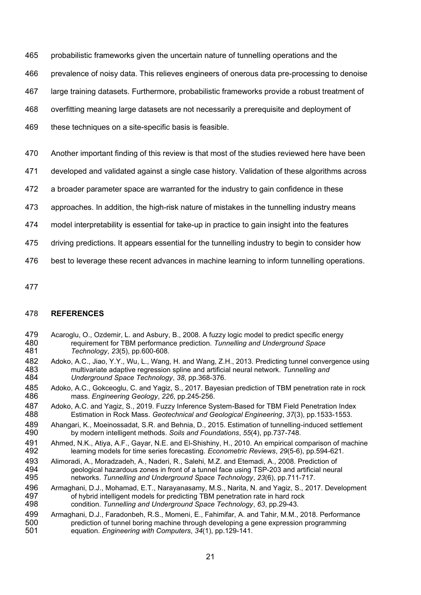- probabilistic frameworks given the uncertain nature of tunnelling operations and the
- prevalence of noisy data. This relieves engineers of onerous data pre-processing to denoise
- large training datasets. Furthermore, probabilistic frameworks provide a robust treatment of
- overfitting meaning large datasets are not necessarily a prerequisite and deployment of
- 469 these techniques on a site-specific basis is feasible.
- Another important finding of this review is that most of the studies reviewed here have been
- developed and validated against a single case history. Validation of these algorithms across
- a broader parameter space are warranted for the industry to gain confidence in these
- approaches. In addition, the high-risk nature of mistakes in the tunnelling industry means
- model interpretability is essential for take-up in practice to gain insight into the features
- driving predictions. It appears essential for the tunnelling industry to begin to consider how
- best to leverage these recent advances in machine learning to inform tunnelling operations.
- 

## **REFERENCES**

- 479 Acaroglu, O., Ozdemir, L. and Asbury, B., 2008. A fuzzy logic model to predict specific energy<br>480 requirement for TBM performance prediction. Tunnelling and Underground Space requirement for TBM performance prediction. *Tunnelling and Underground Space Technology*, *23*(5), pp.600-608.
- 482 Adoko, A.C., Jiao, Y.Y., Wu, L., Wang, H. and Wang, Z.H., 2013. Predicting tunnel convergence using<br>483 multivariate adaptive regression spline and artificial neural network. Tunnelling and multivariate adaptive regression spline and artificial neural network. *Tunnelling and Underground Space Technology*, *38*, pp.368-376.
- 485 Adoko, A.C., Gokceoglu, C. and Yagiz, S., 2017. Bayesian prediction of TBM penetration rate in rock<br>486 mass. *Engineering Geology. 226.* pp.245-256. mass. *Engineering Geology*, *226*, pp.245-256.
- 487 Adoko, A.C. and Yagiz, S., 2019. Fuzzy Inference System-Based for TBM Field Penetration Index<br>488 **Estimation in Rock Mass. Geotechnical and Geological Engineering. 37(3). pp.1533-1553.** Estimation in Rock Mass. *Geotechnical and Geological Engineering*, *37*(3), pp.1533-1553.
- 489 Ahangari, K., Moeinossadat, S.R. and Behnia, D., 2015. Estimation of tunnelling-induced settlement<br>490 by modern intelligent methods. Soils and Foundations, 55(4), pp.737-748. by modern intelligent methods. *Soils and Foundations*, *55*(4), pp.737-748.
- 491 Ahmed, N.K., Atiya, A.F., Gayar, N.E. and El-Shishiny, H., 2010. An empirical comparison of machine<br>492 elearning models for time series forecasting. *Econometric Reviews*, 29(5-6), pp.594-621. learning models for time series forecasting. *Econometric Reviews*, *29*(5-6), pp.594-621.
- 493 Alimoradi, A., Moradzadeh, A., Naderi, R., Salehi, M.Z. and Etemadi, A., 2008. Prediction of 494 ceological hazardous zones in front of a tunnel face using TSP-203 and artificial neura 494 geological hazardous zones in front of a tunnel face using TSP-203 and artificial neural<br>495 https://www.melling.and Underground Space Technology, 23(6), pp.711-717. networks. *Tunnelling and Underground Space Technology*, *23*(6), pp.711-717.
- 496 Armaghani, D.J., Mohamad, E.T., Narayanasamy, M.S., Narita, N. and Yagiz, S., 2017. Development 497 497 of hybrid intelligent models for predicting TBM penetration rate in hard rock<br>498 condition. Tunnelling and Underground Space Technology, 63, pp.29-43. condition. *Tunnelling and Underground Space Technology*, *63*, pp.29-43.
- 499 Armaghani, D.J., Faradonbeh, R.S., Momeni, E., Fahimifar, A. and Tahir, M.M., 2018. Performance<br>500 prediction of tunnel boring machine through developing a gene expression programming 500 prediction of tunnel boring machine through developing a gene expression programming<br>501 equation. *Engineering with Computers.* 34(1). pp.129-141. equation. *Engineering with Computers*, *34*(1), pp.129-141.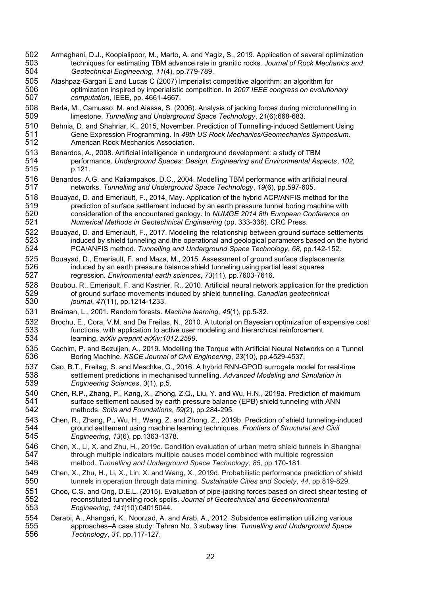- 502 Armaghani, D.J., Koopialipoor, M., Marto, A. and Yagiz, S., 2019. Application of several optimization<br>503 techniques for estimating TBM advance rate in granitic rocks. Journal of Rock Mechanics and 503 techniques for estimating TBM advance rate in granitic rocks. *Journal of Rock Mechanics and*  504 *Geotechnical Engineering*, *11*(4), pp.779-789.
- 505 Atashpaz-Gargari E and Lucas C (2007) Imperialist competitive algorithm: an algorithm for<br>506 optimization inspired by imperialistic competition. In 2007 IEEE congress on evolutio 506 optimization inspired by imperialistic competition. In *2007 IEEE congress on evolutionary*  507 *computation*, IEEE, pp. 4661-4667.
- 508 Barla, M., Camusso, M. and Aiassa, S. (2006). Analysis of jacking forces during microtunnelling in<br>509 limestone. Tunnelling and Underground Space Technology, 21(6):668-683. 509 limestone. *Tunnelling and Underground Space Technology*, *21*(6):668-683.
- 510 Behnia, D. and Shahriar, K., 2015, November. Prediction of Tunnelling-induced Settlement Using<br>511 Gene Expression Programming. In 49th US Rock Mechanics/Geomechanics Symposium. 511 Gene Expression Programming. In *49th US Rock Mechanics/Geomechanics Symposium*. American Rock Mechanics Association.
- 513 Benardos, A., 2008. Artificial intelligence in underground development: a study of TBM<br>514 performance. Underground Spaces: Design. Engineering and Environmental As 514 performance. *Underground Spaces: Design, Engineering and Environmental Aspects*, *102*, p.121.
- 516 Benardos, A.G. and Kaliampakos, D.C., 2004. Modelling TBM performance with artificial neural<br>517 httworks. Tunnelling and Underground Space Technology, 19(6), pp.597-605. 517 networks. *Tunnelling and Underground Space Technology*, *19*(6), pp.597-605.
- 518 Bouayad, D. and Emeriault, F., 2014, May. Application of the hybrid ACP/ANFIS method for the<br>519 strediction of surface settlement induced by an earth pressure tunnel boring machine with 519 prediction of surface settlement induced by an earth pressure tunnel boring machine with<br>520 consideration of the encountered geology. In NUMGE 2014 8th European Conference on 520 consideration of the encountered geology. In *NUMGE 2014 8th European Conference on*  521 *Numerical Methods in Geotechnical Engineering* (pp. 333-338). CRC Press.
- 522 Bouayad, D. and Emeriault, F., 2017. Modeling the relationship between ground surface settlements<br>523 induced by shield tunneling and the operational and geological parameters based on the hybri 523 induced by shield tunneling and the operational and geological parameters based on the hybrid<br>524 PCA/ANFIS method. Tunnelling and Underground Space Technology, 68, pp. 142-152. 524 PCA/ANFIS method. *Tunnelling and Underground Space Technology*, *68*, pp.142-152.
- 525 Bouayad, D., Emeriault, F. and Maza, M., 2015. Assessment of ground surface displacements<br>526 induced by an earth pressure balance shield tunneling using partial least squares 526 induced by an earth pressure balance shield tunneling using partial least squares<br>527 regression. *Environmental earth sciences*, 73(11), pp.7603-7616. 527 regression. *Environmental earth sciences*, *73*(11), pp.7603-7616.
- 528 Boubou, R., Emeriault, F. and Kastner, R., 2010. Artificial neural network application for the prediction <br>529 of ground surface movements induced by shield tunnelling. Canadian geotechnical 529 of ground surface movements induced by shield tunnelling. *Canadian geotechnical*  530 *journal*, *47*(11), pp.1214-1233.
- 531 Breiman, L., 2001. Random forests. *Machine learning*, *45*(1), pp.5-32.
- 532 Brochu, E., Cora, V.M. and De Freitas, N., 2010. A tutorial on Bayesian optimization of expensive cost 533 533 functions, with application to active user modeling and hierarchical reinforcement<br>534 learning. arXiv preprint arXiv:1012.2599. 534 learning. *arXiv preprint arXiv:1012.2599*.
- 535 Cachim, P. and Bezuijen, A., 2019. Modelling the Torque with Artificial Neural Networks on a Tunnel<br>536 **East of the Hotal State of Civil Engineering**, 23(10), pp.4529-4537. 536 Boring Machine. *KSCE Journal of Civil Engineering*, *23*(10), pp.4529-4537.
- 537 Cao, B.T., Freitag, S. and Meschke, G., 2016. A hybrid RNN-GPOD surrogate model for real-time<br>538 settlement predictions in mechanised tunnelling. Advanced Modeling and Simulation in 538 settlement predictions in mechanised tunnelling. *Advanced Modeling and Simulation in* 539 settlement predictions 3(1), p.5. 539 *Engineering Sciences*, *3*(1), p.5.
- 540 Chen, R.P., Zhang, P., Kang, X., Zhong, Z.Q., Liu, Y. and Wu, H.N., 2019a. Prediction of maximum<br>541 surface settlement caused by earth pressure balance (EPB) shield tunneling with ANN 541 surface settlement caused by earth pressure balance (EPB) shield tunneling with ANN<br>542 methods. Soils and Foundations, 59(2), pp.284-295. 542 methods. *Soils and Foundations*, *59*(2), pp.284-295.
- 543 Chen, R., Zhang, P., Wu, H., Wang, Z. and Zhong, Z., 2019b. Prediction of shield tunneling-induced<br>544 ground settlement using machine learning techniques. Frontiers of Structural and Civil 544 ground settlement using machine learning techniques. *Frontiers of Structural and Civil*  545 *Engineering*, *13*(6), pp.1363-1378.
- 546 Chen, X., Li, X. and Zhu, H., 2019c. Condition evaluation of urban metro shield tunnels in Shanghai<br>547 through multiple indicators multiple causes model combined with multiple regression 547 through multiple indicators multiple causes model combined with multiple regression<br>548 method. Tunnelling and Underground Space Technology, 85, pp.170-181. 548 method. *Tunnelling and Underground Space Technology*, *85*, pp.170-181.
- 549 Chen, X., Zhu, H., Li, X., Lin, X. and Wang, X., 2019d. Probabilistic performance prediction of shield<br>550 tunnels in operation through data mining. Sustainable Cities and Society, 44, pp.819-829. 550 tunnels in operation through data mining. *Sustainable Cities and Society*, *44*, pp.819-829.
- 551 Choo, C.S. and Ong, D.E.L. (2015). Evaluation of pipe-jacking forces based on direct shear testing of 552<br>552 reconstituted tunneling rock spoils. Journal of Geotechnical and Geoenvironmental 552 reconstituted tunneling rock spoils. *Journal of Geotechnical and Geoenvironmental*  553 *Engineering*, *141*(10):04015044.
- 554 Darabi, A., Ahangari, K., Noorzad, A. and Arab, A., 2012. Subsidence estimation utilizing various<br>555 approaches–A case study: Tehran No. 3 subway line. Tunnelling and Underground Space 555 approaches–A case study: Tehran No. 3 subway line. *Tunnelling and Underground Space*  556 *Technology*, *31*, pp.117-127.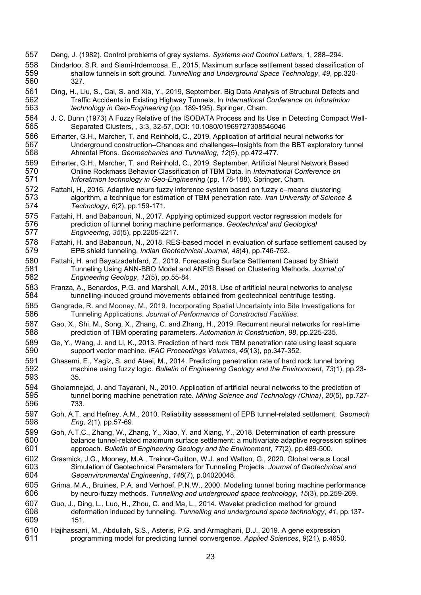- 557 Deng, J. (1982). Control problems of grey systems. *Systems and Control Letters*, 1, 288–294.
- 558 Dindarloo, S.R. and Siami-Irdemoosa, E., 2015. Maximum surface settlement based classification of 559 shallow tunnels in soft ground. Tunnelling and Underground Space Technology, 49, pp.320shallow tunnels in soft ground. *Tunnelling and Underground Space Technology*, 49, pp.320-<br>327. 560
- 561 Ding, H., Liu, S., Cai, S. and Xia, Y., 2019, September. Big Data Analysis of Structural Defects and<br>562 Traffic Accidents in Existing Highway Tunnels. In International Conference on Inforatmion 562 Traffic Accidents in Existing Highway Tunnels. In *International Conference on Inforatmion technology in Geo-Engineering* (pp. 189-195). Springer, Cham.
- 564 J. C. Dunn (1973) A Fuzzy Relative of the ISODATA Process and Its Use in Detecting Compact Well-<br>565 Separated Clusters., 3:3, 32-57, DOI: 10.1080/01969727308546046 565 Separated Clusters, , 3:3, 32-57, DOI: 10.1080/01969727308546046
- 566 Erharter, G.H., Marcher, T. and Reinhold, C., 2019. Application of artificial neural networks for<br>567 Underground construction–Chances and challenges–Insights from the BBT exploratory 567 Underground construction–Chances and challenges–Insights from the BBT exploratory tunnel<br>568 Ahrental Pfons, Geomechanics and Tunnelling, 12(5), pp.472-477. 568 Ahrental Pfons. *Geomechanics and Tunnelling*, *12*(5), pp.472-477.
- 569 Erharter, G.H., Marcher, T. and Reinhold, C., 2019, September. Artificial Neural Network Based<br>570 **Chritter Rockmass Behavior Classification of TBM Data. In International Conference on** 570 Online Rockmass Behavior Classification of TBM Data. In *International Conference on*  Inforatmion technology in Geo-Engineering (pp. 178-188). Springer, Cham.
- 572 Fattahi, H., 2016. Adaptive neuro fuzzy inference system based on fuzzy c–means clustering<br>573 algorithm, a technique for estimation of TBM penetration rate. Iran University of Science 573 algorithm, a technique for estimation of TBM penetration rate. *Iran University of Science &*  574 *Technology*, *6*(2), pp.159-171.
- 575 Fattahi, H. and Babanouri, N., 2017. Applying optimized support vector regression models for<br>576 prediction of tunnel boring machine performance. Geotechnical and Geological 576 prediction of tunnel boring machine performance. *Geotechnical and Geological*  577 *Engineering*, *35*(5), pp.2205-2217.
- 578 Fattahi, H. and Babanouri, N., 2018. RES-based model in evaluation of surface settlement caused by<br>579 EPB shield tunneling. *Indian Geotechnical Journal, 48(4), pp.746-752*. 579 EPB shield tunneling. *Indian Geotechnical Journal*, *48*(4), pp.746-752.
- 580 Fattahi, H. and Bayatzadehfard, Z., 2019. Forecasting Surface Settlement Caused by Shield<br>581 Tunneling Using ANN-BBO Model and ANFIS Based on Clustering Methods. Journal c 581 Tunneling Using ANN-BBO Model and ANFIS Based on Clustering Methods. *Journal of*  582 *Engineering Geology*, *12*(5), pp.55-84.
- 583 Franza, A., Benardos, P.G. and Marshall, A.M., 2018. Use of artificial neural networks to analyse 584 tunnelling-induced ground movements obtained from geotechnical centrifuge testing.
- 585 Gangrade, R. and Mooney, M., 2019. Incorporating Spatial Uncertainty into Site Investigations for 586 Tunneling Applications. Journal of Performance of Constructed Facilities. 586 Tunneling Applications. *Journal of Performance of Constructed Facilities*.
- 587 Gao, X., Shi, M., Song, X., Zhang, C. and Zhang, H., 2019. Recurrent neural networks for real-time<br>588 prediction of TBM operating parameters. Automation in Construction, 98, pp.225-235. 588 prediction of TBM operating parameters. *Automation in Construction*, *98*, pp.225-235.
- 589 Ge, Y., Wang, J. and Li, K., 2013. Prediction of hard rock TBM penetration rate using least square<br>590 support vector machine. IFAC Proceedings Volumes, 46(13), pp.347-352. 590 support vector machine. *IFAC Proceedings Volumes*, *46*(13), pp.347-352.
- 591 Ghasemi, E., Yagiz, S. and Ataei, M., 2014. Predicting penetration rate of hard rock tunnel boring<br>592 machine using fuzzy logic. Bulletin of Engineering Geology and the Environment. 73(1). pp. machine using fuzzy logic. *Bulletin of Engineering Geology and the Environment*, 73(1), pp.23-<br>35 593
- 594 Gholamnejad, J. and Tayarani, N., 2010. Application of artificial neural networks to the prediction of 595<br>595 tunnel boring machine penetration rate. Mining Science and Technology (China). 20(5). pp.72 595 tunnel boring machine penetration rate. *Mining Science and Technology (China)*, *20*(5), pp.727- 596 733.
- 597 Goh, A.T. and Hefney, A.M., 2010. Reliability assessment of EPB tunnel-related settlement. *Geomech*  598 *Eng*, *2*(1), pp.57-69.
- 599 Goh, A.T.C., Zhang, W., Zhang, Y., Xiao, Y. and Xiang, Y., 2018. Determination of earth pressure<br>600 balance tunnel-related maximum surface settlement: a multivariate adaptive regression splir 600 balance tunnel-related maximum surface settlement: a multivariate adaptive regression splines 601 sapproach. Bulletin of Engineering Geology and the Environment, 77(2), pp.489-500. 601 approach. *Bulletin of Engineering Geology and the Environment*, *77*(2), pp.489-500.
- 602 Grasmick, J.G., Mooney, M.A., Trainor-Guitton, W.J. and Walton, G., 2020. Global versus Local<br>603 Simulation of Geotechnical Parameters for Tunneling Projects. Journal of Geotechnical an 603 Simulation of Geotechnical Parameters for Tunneling Projects. *Journal of Geotechnical and*  604 *Geoenvironmental Engineering*, *146*(7), p.04020048.
- 605 Grima, M.A., Bruines, P.A. and Verhoef, P.N.W., 2000. Modeling tunnel boring machine performance<br>606 by neuro-fuzzy methods. Tunnelling and underground space technology, 15(3), pp.259-269. 606 by neuro-fuzzy methods. *Tunnelling and underground space technology*, *15*(3), pp.259-269.
- 607 Guo, J., Ding, L., Luo, H., Zhou, C. and Ma, L., 2014. Wavelet prediction method for ground 608<br>608 deformation induced by tunneling. Tunnelling and underground space technology. 41. 608 deformation induced by tunneling. *Tunnelling and underground space technology*, *41*, pp.137- 609 151.
- 610 Hajihassani, M., Abdullah, S.S., Asteris, P.G. and Armaghani, D.J., 2019. A gene expression<br>611 **Castian and an angle and an anti-or** convergence. Applied Sciences, 9(21), p.465 611 programming model for predicting tunnel convergence. *Applied Sciences*, *9*(21), p.4650.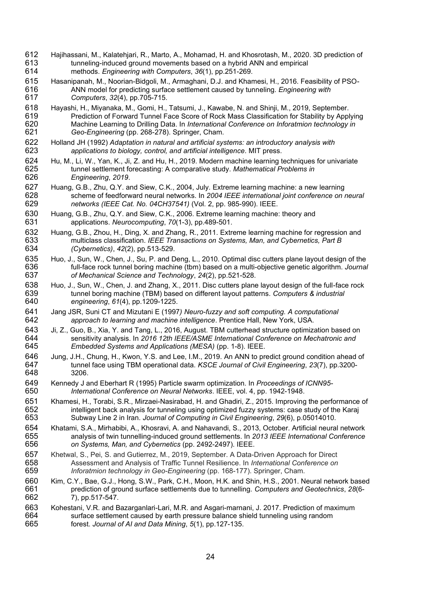- 612 Hajihassani, M., Kalatehjari, R., Marto, A., Mohamad, H. and Khosrotash, M., 2020. 3D prediction of 613 tunneling-induced ground movements based on a hybrid ANN and empirical<br>614 methods. *Engineering with Computers.* 36(1). pp.251-269. 614 methods. *Engineering with Computers*, *36*(1), pp.251-269.
- 615 Hasanipanah, M., Noorian-Bidgoli, M., Armaghani, D.J. and Khamesi, H., 2016. Feasibility of PSO-<br>616 **ANN model for predicting surface settlement caused by tunneling**. *Engineering with* 616 ANN model for predicting surface settlement caused by tunneling. *Engineering with*  617 *Computers*, *32*(4), pp.705-715.
- 618 Hayashi, H., Miyanaka, M., Gomi, H., Tatsumi, J., Kawabe, N. and Shinji, M., 2019, September. 619 Prediction of Forward Tunnel Face Score of Rock Mass Classification for Stability by Applying<br>620 Machine Learning to Drilling Data. In International Conference on Inforatmion technology in 620 Machine Learning to Drilling Data. In *International Conference on Inforatmion technology in*  Geo-Engineering (pp. 268-278). Springer, Cham.
- 622 Holland JH (1992) *Adaptation in natural and artificial systems: an introductory analysis with*  623 *applications to biology, control, and artificial intelligence*. MIT press.
- 624 Hu, M., Li, W., Yan, K., Ji, Z. and Hu, H., 2019. Modern machine learning techniques for univariate 625 tunnel settlement forecasting: A comparative study. *Mathematical Problems in* 625 tunnel settlement forecasting: A comparative study. *Mathematical Problems in*  626 *Engineering*, *2019*.
- 627 Huang, G.B., Zhu, Q.Y. and Siew, C.K., 2004, July. Extreme learning machine: a new learning<br>628 scheme of feedforward neural networks. In 2004 IEEE international joint conference on i 628 scheme of feedforward neural networks. In *2004 IEEE international joint conference on neural*  629 *networks (IEEE Cat. No. 04CH37541)* (Vol. 2, pp. 985-990). IEEE.
- 630 Huang, G.B., Zhu, Q.Y. and Siew, C.K., 2006. Extreme learning machine: theory and 631 encoded applications. Neurocomputing. 70(1-3). pp. 489-501. 631 applications. *Neurocomputing*, *70*(1-3), pp.489-501.
- 632 Huang, G.B., Zhou, H., Ding, X. and Zhang, R., 2011. Extreme learning machine for regression and 633 multiclass classification. IEEE Transactions on Systems. Man. and Cybernetics. Part B 633 multiclass classification. *IEEE Transactions on Systems, Man, and Cybernetics, Part B*  634 *(Cybernetics)*, *42*(2), pp.513-529.
- 635 Huo, J., Sun, W., Chen, J., Su, P. and Deng, L., 2010. Optimal disc cutters plane layout design of the 636<br>636 full-face rock tunnel boring machine (tbm) based on a multi-objective genetic algorithm. Journal 636 full-face rock tunnel boring machine (tbm) based on a multi-objective genetic algorithm. *Journal*  637 *of Mechanical Science and Technology*, *24*(2), pp.521-528.
- 638 Huo, J., Sun, W., Chen, J. and Zhang, X., 2011. Disc cutters plane layout design of the full-face rock 639<br>639 tunnel boring machine (TBM) based on different layout patterns. Computers & industrial 639 tunnel boring machine (TBM) based on different layout patterns. *Computers & industrial*  640 *engineering*, *61*(4), pp.1209-1225.
- 641 Jang JSR, Suni CT and Mizutani E (1997*) Neuro-fuzzy and soft computing. A computational*  approach to learning and machine intelligence. Prentice Hall, New York, USA.
- 643 Ji, Z., Guo, B., Xia, Y. and Tang, L., 2016, August. TBM cutterhead structure optimization based on sensitivity analysis. In 2016 12th IEEE/ASME International Conference on Mechatronic and 644 sensitivity analysis. In *2016 12th IEEE/ASME International Conference on Mechatronic and*  645 *Embedded Systems and Applications (MESA)* (pp. 1-8). IEEE.
- 646 Jung, J.H., Chung, H., Kwon, Y.S. and Lee, I.M., 2019. An ANN to predict ground condition ahead of 647 tunnel face using TBM operational data. KSCE Journal of Civil Engineering. 23(7). pp.3200-647 tunnel face using TBM operational data. *KSCE Journal of Civil Engineering*, *23*(7), pp.3200- 3206.
- 649 Kennedy J and Eberhart R (1995) Particle swarm optimization. In *Proceedings of ICNN95-* 650 *International Conference on Neural Networks*. IEEE, vol. 4, pp. 1942-1948.
- 651 Khamesi, H., Torabi, S.R., Mirzaei-Nasirabad, H. and Ghadiri, Z., 2015. Improving the performance of 652 intelligent back analysis for tunneling using optimized fuzzy systems: case study of the Karaj 652 intelligent back analysis for tunneling using optimized fuzzy systems: case study of the Karaj<br>653 Subway Line 2 in Iran. Journal of Computing in Civil Engineering, 29(6), p.05014010. 653 Subway Line 2 in Iran. *Journal of Computing in Civil Engineering*, *29*(6), p.05014010.
- 654 Khatami, S.A., Mirhabibi, A., Khosravi, A. and Nahavandi, S., 2013, October. Artificial neural network<br>655 analysis of twin tunnelling-induced ground settlements. In 2013 IEEE International Conference 655 analysis of twin tunnelling-induced ground settlements. In *2013 IEEE International Conference*  656 *on Systems, Man, and Cybernetics* (pp. 2492-2497). IEEE.
- 657 Khetwal, S., Pei, S. and Gutierrez, M., 2019, September. A Data-Driven Approach for Direct 658<br>658 Assessment and Analysis of Traffic Tunnel Resilience. In International Conference on 658 Assessment and Analysis of Traffic Tunnel Resilience. In *International Conference on*  Inforatmion technology in Geo-Engineering (pp. 168-177). Springer, Cham.
- 660 Kim, C.Y., Bae, G.J., Hong, S.W., Park, C.H., Moon, H.K. and Shin, H.S., 2001. Neural network based prediction of ground surface settlements due to tunnelling. Computers and Geotechnics, 28(6-661 prediction of ground surface settlements due to tunnelling. *Computers and Geotechnics*, *28*(6- 662 7), pp.517-547.
- 663 Kohestani, V.R. and Bazarganlari-Lari, M.R. and Asgari-marnani, J. 2017. Prediction of maximum<br>664 surface settlement caused by earth pressure balance shield tunneling using random 664 surface settlement caused by earth pressure balance shield tunneling using random<br>665 forest. Journal of Al and Data Mining. 5(1). pp.127-135. 665 forest. *Journal of AI and Data Mining*, *5*(1), pp.127-135.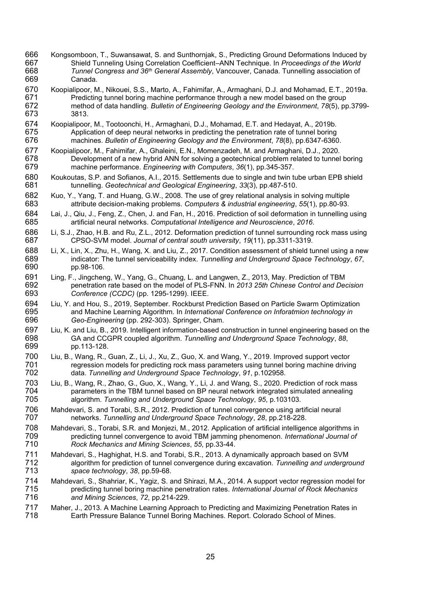- 666 Kongsomboon, T., Suwansawat, S. and Sunthornjak, S., Predicting Ground Deformations Induced by<br>667 Shield Tunneling Using Correlation Coefficient–ANN Technique. In Proceedings of the World 667 Shield Tunneling Using Correlation Coefficient–ANN Technique. In *Proceedings of the World*  668 *Tunnel Congress and 36<sup>th</sup> General Assembly, Vancouver, Canada. Tunnelling association of* 669 Canada.
- 670 Koopialipoor, M., Nikouei, S.S., Marto, A., Fahimifar, A., Armaghani, D.J. and Mohamad, E.T., 2019a.<br>671 Fredicting tunnel boring machine performance through a new model based on the group 671 Predicting tunnel boring machine performance through a new model based on the group<br>672 method of data handling. Bulletin of Engineering Geology and the Environment, 78(5), pp 672 method of data handling. *Bulletin of Engineering Geology and the Environment*, *78*(5), pp.3799- 3813.
- 674 Koopialipoor, M., Tootoonchi, H., Armaghani, D.J., Mohamad, E.T. and Hedayat, A., 2019b.<br>675 Meplication of deep neural networks in predicting the penetration rate of tunnel boring 675 Application of deep neural networks in predicting the penetration rate of tunnel boring<br>676 machines. Bulletin of Engineering Geology and the Environment, 78(8), pp.6347-6360 676 machines. *Bulletin of Engineering Geology and the Environment*, *78*(8), pp.6347-6360.
- 677 Koopialipoor, M., Fahimifar, A., Ghaleini, E.N., Momenzadeh, M. and Armaghani, D.J., 2020.<br>678 **East an East an** Import of a new hybrid ANN for solving a geotechnical problem related to tunnel 678 Development of a new hybrid ANN for solving a geotechnical problem related to tunnel boring<br>679 machine performance. *Engineering with Computers.* 36(1). pp.345-357. machine performance. *Engineering with Computers*, 36(1), pp.345-357.
- 680 Koukoutas, S.P. and Sofianos, A.I., 2015. Settlements due to single and twin tube urban EPB shield 681 tunnelling. Geotechnical and Geological Engineering, 33(3), pp.487-510. 681 tunnelling. *Geotechnical and Geological Engineering*, *33*(3), pp.487-510.
- 682 Kuo, Y., Yang, T. and Huang, G.W., 2008. The use of grey relational analysis in solving multiple 683 attribute decision-making problems. Computers & industrial engineering, 55(1), pp.80-93. 683 attribute decision-making problems. *Computers & industrial engineering*, *55*(1), pp.80-93.
- 684 Lai, J., Qiu, J., Feng, Z., Chen, J. and Fan, H., 2016. Prediction of soil deformation in tunnelling using<br>685 artificial neural networks. Computational Intelligence and Neuroscience. 2016. 685 artificial neural networks. *Computational Intelligence and Neuroscience*, *2016*.
- 686 Li, S.J., Zhao, H.B. and Ru, Z.L., 2012. Deformation prediction of tunnel surrounding rock mass using 687 CPSO-SVM model. Journal of central south university, 19(11), pp.3311-3319. 687 CPSO-SVM model. *Journal of central south university*, *19*(11), pp.3311-3319.
- 688 Li, X., Lin, X., Zhu, H., Wang, X. and Liu, Z., 2017. Condition assessment of shield tunnel using a new<br>689 indicator: The tunnel serviceability index. Tunnelling and Underground Space Technology. 67. 689 indicator: The tunnel serviceability index. *Tunnelling and Underground Space Technology*, *67*, pp.98-106.
- 691 Ling, F., Jingcheng, W., Yang, G., Chuang, L. and Langwen, Z., 2013, May. Prediction of TBM<br>692 penetration rate based on the model of PLS-FNN. In 2013 25th Chinese Control and Dee 692 penetration rate based on the model of PLS-FNN. In *2013 25th Chinese Control and Decision*  693 *Conference (CCDC)* (pp. 1295-1299). IEEE.
- 694 Liu, Y. and Hou, S., 2019, September. Rockburst Prediction Based on Particle Swarm Optimization<br>695 and Machine Learning Algorithm. In International Conference on Inforatmion technology in 695 and Machine Learning Algorithm. In *International Conference on Inforatmion technology in*  696 *Geo-Engineering* (pp. 292-303). Springer, Cham.
- 697 Liu, K. and Liu, B., 2019. Intelligent information-based construction in tunnel engineering based on the 698 CGA and CCGPR coupled algorithm. Tunnelling and Underground Space Technology. 88. 698 GA and CCGPR coupled algorithm. *Tunnelling and Underground Space Technology*, *88*, 699 pp.113-128.
- 700 Liu, B., Wang, R., Guan, Z., Li, J., Xu, Z., Guo, X. and Wang, Y., 2019. Improved support vector<br>701 regression models for predicting rock mass parameters using tunnel boring machine drivin 701 regression models for predicting rock mass parameters using tunnel boring machine driving<br>702 data. Tunnelling and Underground Space Technology, 91, p.102958. 702 data. *Tunnelling and Underground Space Technology*, *91*, p.102958.
- 703 Liu, B., Wang, R., Zhao, G., Guo, X., Wang, Y., Li, J. and Wang, S., 2020. Prediction of rock mass<br>704 **has parameters in the TBM tunnel based on BP** neural network integrated simulated annealing 704 parameters in the TBM tunnel based on BP neural network integrated simulated annealing<br>705 algorithm. Tunnelling and Underground Space Technology, 95, p.103103. 705 algorithm. *Tunnelling and Underground Space Technology*, *95*, p.103103.
- 706 Mahdevari, S. and Torabi, S.R., 2012. Prediction of tunnel convergence using artificial neural<br>707 metworks. Tunnelling and Underground Space Technology, 28, pp.218-228. 707 networks. *Tunnelling and Underground Space Technology*, *28*, pp.218-228.
- 708 Mahdevari, S., Torabi, S.R. and Monjezi, M., 2012. Application of artificial intelligence algorithms in<br>709 redicting tunnel convergence to avoid TBM jamming phenomenon. *International Journal of* 709 predicting tunnel convergence to avoid TBM jamming phenomenon. *International Journal of*  710 *Rock Mechanics and Mining Sciences*, *55*, pp.33-44.
- 711 Mahdevari, S., Haghighat, H.S. and Torabi, S.R., 2013. A dynamically approach based on SVM<br>712 algorithm for prediction of tunnel convergence during excavation. Tunnelling and undergro 712 algorithm for prediction of tunnel convergence during excavation. *Tunnelling and underground*  713 *space technology*, *38*, pp.59-68.
- 714 Mahdevari, S., Shahriar, K., Yagiz, S. and Shirazi, M.A., 2014. A support vector regression model for<br>715 redicting tunnel boring machine penetration rates. International Journal of Rock Mechanics 715 predicting tunnel boring machine penetration rates. *International Journal of Rock Mechanics*  716 *and Mining Sciences*, *72*, pp.214-229.
- 717 Maher, J., 2013. A Machine Learning Approach to Predicting and Maximizing Penetration Rates in<br>718 **Earth Pressure Balance Tunnel Boring Machines, Report, Colorado School of Mines**. Earth Pressure Balance Tunnel Boring Machines. Report. Colorado School of Mines.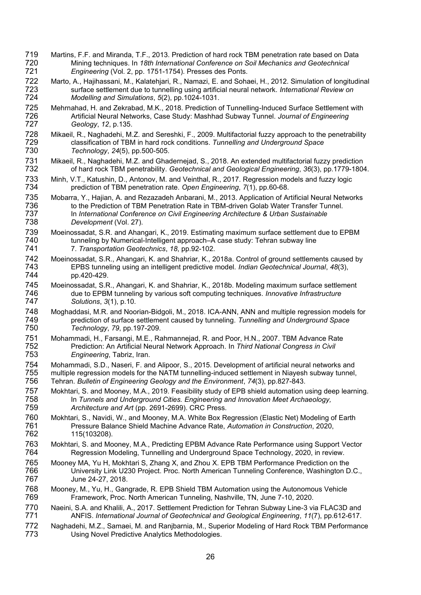- 719 Martins, F.F. and Miranda, T.F., 2013. Prediction of hard rock TBM penetration rate based on Data<br>720 Mining techniques. In 18th International Conference on Soil Mechanics and Geotechnical 720 Mining techniques. In *18th International Conference on Soil Mechanics and Geotechnical*  Engineering (Vol. 2, pp. 1751-1754). Presses des Ponts.
- 722 Marto, A., Hajihassani, M., Kalatehjari, R., Namazi, E. and Sohaei, H., 2012. Simulation of longitudinal<br>723 surface settlement due to tunnelling using artificial neural network. *International Review on* 723 surface settlement due to tunnelling using artificial neural network. *International Review on*  724 *Modelling and Simulations*, *5*(2), pp.1024-1031.
- 725 Mehrnahad, H. and Zekrabad, M.K., 2018. Prediction of Tunnelling-Induced Surface Settlement with<br>726 **Martificial Neural Networks, Case Study: Mashhad Subway Tunnel. Journal of Engineering** 726 Artificial Neural Networks, Case Study: Mashhad Subway Tunnel. *Journal of Engineering*  727 *Geology*, *12*, p.135.
- 728 Mikaeil, R., Naghadehi, M.Z. and Sereshki, F., 2009. Multifactorial fuzzy approach to the penetrability<br>729 classification of TBM in hard rock conditions. Tunnelling and Underground Space 729 classification of TBM in hard rock conditions. *Tunnelling and Underground Space*  730 *Technology*, *24*(5), pp.500-505.
- 731 Mikaeil, R., Naghadehi, M.Z. and Ghadernejad, S., 2018. An extended multifactorial fuzzy prediction<br>732 of hard rock TBM penetrability. Geotechnical and Geological Engineering, 36(3), pp.1779-1804 732 of hard rock TBM penetrability. *Geotechnical and Geological Engineering*, *36*(3), pp.1779-1804.
- 733 Minh, V.T., Katushin, D., Antonov, M. and Veinthal, R., 2017. Regression models and fuzzy logic<br>734 prediction of TBM penetration rate. Open Engineering, 7(1), pp.60-68. 734 prediction of TBM penetration rate. *Open Engineering*, *7*(1), pp.60-68.
- 735 Mobarra, Y., Hajian, A. and Rezazadeh Anbarani, M., 2013. Application of Artificial Neural Networks<br>736 to the Prediction of TBM Penetration Rate in TBM-driven Golab Water Transfer Tunnel. 736 to the Prediction of TBM Penetration Rate in TBM-driven Golab Water Transfer Tunnel.<br>737 In International Conference on Civil Engineering Architecture & Urban Sustainable 737 In *International Conference on Civil Engineering Architecture & Urban Sustainable*  738 *Development* (Vol. 27).
- 739 Moeinossadat, S.R. and Ahangari, K., 2019. Estimating maximum surface settlement due to EPBM<br>740 tunneling by Numerical-Intelligent approach–A case study: Tehran subway line 740 tunneling by Numerical-Intelligent approach–A case study: Tehran subway line<br>741 78. Transportation Geotechnics, 18, pp.92-102. 741 7. *Transportation Geotechnics*, *18*, pp.92-102.
- 742 Moeinossadat, S.R., Ahangari, K. and Shahriar, K., 2018a. Control of ground settlements caused by<br>743 EPBS tunneling using an intelligent predictive model. *Indian Geotechnical Journal*, 48(3), 743 EPBS tunneling using an intelligent predictive model. *Indian Geotechnical Journal*, *48*(3), pp.420-429.
- 745 Moeinossadat, S.R., Ahangari, K. and Shahriar, K., 2018b. Modeling maximum surface settlement<br>746 due to EPBM tunneling by various soft computing techniques. *Innovative Infrastructure* 746 due to EPBM tunneling by various soft computing techniques. *Innovative Infrastructure*  747 *Solutions*, *3*(1), p.10.
- 748 Moghaddasi, M.R. and Noorian-Bidgoli, M., 2018. ICA-ANN, ANN and multiple regression models for<br>749 rediction of surface settlement caused by tunneling. Tunnelling and Underground Space 749 prediction of surface settlement caused by tunneling. *Tunnelling and Underground Space*  750 *Technology*, *79*, pp.197-209.
- 751 Mohammadi, H., Farsangi, M.E., Rahmannejad, R. and Poor, H.N., 2007. TBM Advance Rate<br>752 **Frediction: An Artificial Neural Network Approach. In Third National Congress in Civil** 752 Prediction: An Artificial Neural Network Approach. In *Third National Congress in Civil*  753 *Engineering*, Tabriz, Iran.
- 754 Mohammadi, S.D., Naseri, F. and Alipoor, S., 2015. Development of artificial neural networks and<br>755 multiple regression models for the NATM tunnelling-induced settlement in Niayesh subway tunnel, 755 multiple regression models for the NATM tunnelling-induced settlement in Niayesh subway tunnel,<br>756 Tehran. Bulletin of Engineering Geology and the Environment, 74(3), pp.827-843. 756 Tehran. *Bulletin of Engineering Geology and the Environment*, *74*(3), pp.827-843.
- 757 Mokhtari, S. and Mooney, M.A., 2019. Feasibility study of EPB shield automation using deep learning.<br>758 **In Tunnels and Underground Cities. Engineering and Innovation Meet Archaeology**. 758 In *Tunnels and Underground Cities. Engineering and Innovation Meet Archaeology,*  Architecture and Art (pp. 2691-2699). CRC Press.
- 760 Mokhtari, S., Navidi, W., and Mooney, M.A. White Box Regression (Elastic Net) Modeling of Earth 761 Moressure Balance Shield Machine Advance Rate, Automation in Construction, 2020. 761 Pressure Balance Shield Machine Advance Rate, *Automation in Construction*, 2020, 115(103208).
- 763 Mokhtari, S. and Mooney, M.A., Predicting EPBM Advance Rate Performance using Support Vector<br>764 **Regression Modeling, Tunnelling and Underground Space Technology, 2020, in review.** Regression Modeling, Tunnelling and Underground Space Technology, 2020, in review.
- 765 Mooney MA, Yu H, Mokhtari S, Zhang X, and Zhou X. EPB TBM Performance Prediction on the<br>766 University Link U230 Project. Proc. North American Tunneling Conference, Washington D 766 University Link U230 Project. Proc. North American Tunneling Conference, Washington D.C.,<br>767 June 24-27, 2018. June 24-27, 2018.
- 768 Mooney, M., Yu, H., Gangrade, R. EPB Shield TBM Automation using the Autonomous Vehicle 769 Framework, Proc. North American Tunneling, Nashville, TN, June 7-10, 2020.
- 770 Naeini, S.A. and Khalili, A., 2017. Settlement Prediction for Tehran Subway Line-3 via FLAC3D and<br>771 ANFIS, International Journal of Geotechnical and Geological Engineering, 11(7), pp.612-617. 771 ANFIS. *International Journal of Geotechnical and Geological Engineering*, *11*(7), pp.612-617.
- 772 Naghadehi, M.Z., Samaei, M. and Ranjbarnia, M., Superior Modeling of Hard Rock TBM Performance<br>773 Using Novel Predictive Analytics Methodologies. Using Novel Predictive Analytics Methodologies.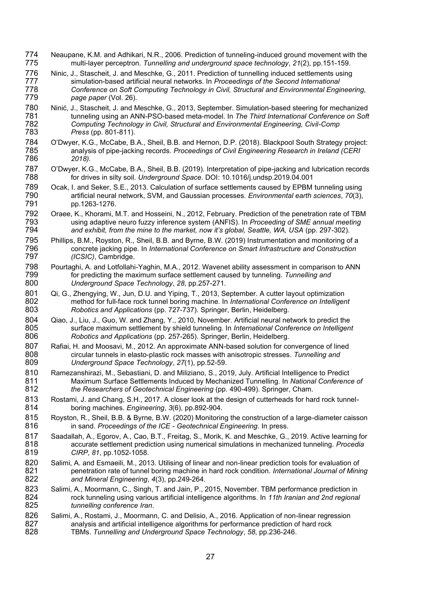- 774 Neaupane, K.M. and Adhikari, N.R., 2006. Prediction of tunneling-induced ground movement with the<br>775 multi-layer perceptron. Tunnelling and underground space technology, 21(2), pp.151-159. 775 multi-layer perceptron. *Tunnelling and underground space technology*, *21*(2), pp.151-159.
- 776 Ninic, J., Stascheit, J. and Meschke, G., 2011. Prediction of tunnelling induced settlements using<br>777 simulation-based artificial neural networks. In Proceedings of the Second International 777 simulation-based artificial neural networks. In *Proceedings of the Second International*<br>778 Conference on Soft Computing Technology in Civil. Structural and Environmental Engi 778 *Conference on Soft Computing Technology in Civil, Structural and Environmental Engineering,*  779 *page paper* (Vol. 26).
- 780 Ninić, J., Stascheit, J. and Meschke, G., 2013, September. Simulation-based steering for mechanized<br>781 tunneling using an ANN-PSO-based meta-model. In The Third International Conference on Soft 781 tunneling using an ANN-PSO-based meta-model. In *The Third International Conference on Soft*  782 *Computing Technology in Civil, Structural and Environmental Engineering, Civil-Comp*  783 *Press* (pp. 801-811).
- 784 O'Dwyer, K.G., McCabe, B.A., Sheil, B.B. and Hernon, D.P. (2018). Blackpool South Strategy project:<br>785 analysis of pipe-jacking records. Proceedings of Civil Engineering Research in Ireland (CERI 785 analysis of pipe-jacking records. *Proceedings of Civil Engineering Research in Ireland (CERI*  786 *2018).*
- 787 O'Dwyer, K.G., McCabe, B.A., Sheil, B.B. (2019). Interpretation of pipe-jacking and lubrication records<br>788 for drives in silty soil. Underground Space. DOI: 10.1016/i.undsp.2019.04.001 788 for drives in silty soil. *Underground Space.* DOI: 10.1016/j.undsp.2019.04.001
- 789 Ocak, I. and Seker, S.E., 2013. Calculation of surface settlements caused by EPBM tunneling using<br>790 **Finding antificial neural network, SVM, and Gaussian processes.** *Environmental earth sciences, 70*(3), 790 artificial neural network, SVM, and Gaussian processes. *Environmental earth sciences*, *70*(3), pp.1263-1276.
- 792 Oraee, K., Khorami, M.T. and Hosseini, N., 2012, February. Prediction of the penetration rate of TBM<br>793 using adaptive neuro fuzzy inference system (ANFIS). In *Proceeding of SME annual meeting* 793 using adaptive neuro fuzzy inference system (ANFIS). In *Proceeding of SME annual meeting*  794 *and exhibit, from the mine to the market, now it's global, Seattle, WA, USA* (pp. 297-302).
- 795 Phillips, B.M., Royston, R., Sheil, B.B. and Byrne, B.W. (2019) Instrumentation and monitoring of a<br>796 concrete jacking pipe. In International Conference on Smart Infrastructure and Construction 796 concrete jacking pipe. In *International Conference on Smart Infrastructure and Construction*  797 *(ICSIC)*, Cambridge.
- 798 Pourtaghi, A. and Lotfollahi-Yaghin, M.A., 2012. Wavenet ability assessment in comparison to ANN<br>799 for predicting the maximum surface settlement caused by tunneling. Tunnelling and 799 for predicting the maximum surface settlement caused by tunneling. *Tunnelling and*  800 *Underground Space Technology*, *28*, pp.257-271.
- 801 Qi, G., Zhengying, W., Jun, D.U. and Yiping, T., 2013, September. A cutter layout optimization<br>802 method for full-face rock tunnel boring machine. In International Conference on Intelliger 802 method for full-face rock tunnel boring machine. In *International Conference on Intelligent*  803 *Robotics and Applications* (pp. 727-737). Springer, Berlin, Heidelberg.
- 804 Qiao, J., Liu, J., Guo, W. and Zhang, Y., 2010, November. Artificial neural network to predict the 805 surface maximum settlement by shield tunneling. In International Conference on Intelligen 805 surface maximum settlement by shield tunneling. In *International Conference on Intelligent*  806 *Robotics and Applications* (pp. 257-265). Springer, Berlin, Heidelberg.
- 807 Rafiai, H. and Moosavi, M., 2012. An approximate ANN-based solution for convergence of lined<br>808 circular tunnels in elasto-plastic rock masses with anisotropic stresses. Tunnelling and 808 circular tunnels in elasto-plastic rock masses with anisotropic stresses. *Tunnelling and*  809 *Underground Space Technology*, *27*(1), pp.52-59.
- 810 Ramezanshirazi, M., Sebastiani, D. and Miliziano, S., 2019, July. Artificial Intelligence to Predict 811 Maximum Surface Settlements Induced by Mechanized Tunnelling. In National Conference 811 Maximum Surface Settlements Induced by Mechanized Tunnelling. In *National Conference of*  the Researchers of Geotechnical Engineering (pp. 490-499). Springer, Cham.
- 813 Rostami, J. and Chang, S.H., 2017. A closer look at the design of cutterheads for hard rock tunnel-<br>814 boring machines. *Engineering*, 3(6), pp.892-904. 814 boring machines. *Engineering*, *3*(6), pp.892-904.
- 815 Royston, R., Sheil, B.B. & Byrne, B.W. (2020) Monitoring the construction of a large-diameter caisson<br>816 **in sand. Proceedings of the ICE** Geotechnical Engineering. In press. 816 in sand. *Proceedings of the ICE - Geotechnical Engineering*. In press.
- 817 Saadallah, A., Egorov, A., Cao, B.T., Freitag, S., Morik, K. and Meschke, G., 2019. Active learning for 818<br>818 accurate settlement prediction using numerical simulations in mechanized tunneling. Procedia 818 accurate settlement prediction using numerical simulations in mechanized tunneling. *Procedia*  819 *CIRP*, *81*, pp.1052-1058.
- 820 Salimi, A. and Esmaeili, M., 2013. Utilising of linear and non-linear prediction tools for evaluation of 821 penetration rate of tunnel boring machine in hard rock condition. *International Journal of Minir* 821 penetration rate of tunnel boring machine in hard rock condition. *International Journal of Mining*  822 *and Mineral Engineering*, *4*(3), pp.249-264.
- 823 Salimi, A., Moormann, C., Singh, T. and Jain, P., 2015, November. TBM performance prediction in<br>824 rock tunneling using various artificial intelligence algorithms. In 11th Iranian and 2nd regional 824 rock tunneling using various artificial intelligence algorithms. In *11th Iranian and 2nd regional*  825 *tunnelling conference Iran*.
- 826 Salimi, A., Rostami, J., Moormann, C. and Delisio, A., 2016. Application of non-linear regression<br>827 analysis and artificial intelligence algorithms for performance prediction of hard rock 827 analysis and artificial intelligence algorithms for performance prediction of hard rock<br>828 TBMs. Tunnelling and Underground Space Technology, 58, pp.236-246. 828 TBMs. *Tunnelling and Underground Space Technology*, *58*, pp.236-246.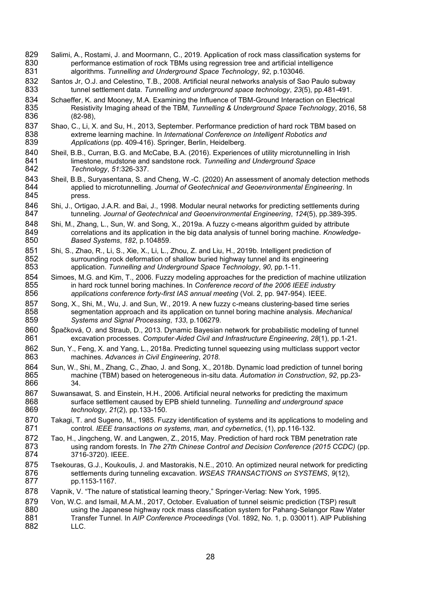- 829 Salimi, A., Rostami, J. and Moormann, C., 2019. Application of rock mass classification systems for 830 performance estimation of rock TBMs using regression tree and artificial intelligence 830 performance estimation of rock TBMs using regression tree and artificial intelligence<br>831 algorithms. Tunnelling and Underground Space Technology, 92, p.103046. 831 algorithms. *Tunnelling and Underground Space Technology*, *92*, p.103046.
- 832 Santos Jr, O.J. and Celestino, T.B., 2008. Artificial neural networks analysis of Sao Paulo subway<br>833 tunnel settlement data. Tunnelling and underground space technology, 23(5), pp.481-491. 833 tunnel settlement data. *Tunnelling and underground space technology*, *23*(5), pp.481-491.
- 834 Schaeffer, K. and Mooney, M.A. Examining the Influence of TBM-Ground Interaction on Electrical<br>835 Resistivity Imaging ahead of the TBM, Tunnelling & Underground Space Technology, 2016, 835 Resistivity Imaging ahead of the TBM, *Tunnelling & Underground Space Technology*, 2016, 58  $(82-98)$ ,
- 837 Shao, C., Li, X. and Su, H., 2013, September. Performance prediction of hard rock TBM based on extreme learning machine. In *International Conference on Intelligent Robotics and* 838 extreme learning machine. In *International Conference on Intelligent Robotics and* 839 exteed Applications (pp. 409-416). Springer, Berlin, Heidelberg. Applications (pp. 409-416). Springer, Berlin, Heidelberg.
- 840 Sheil, B.B., Curran, B.G. and McCabe, B.A. (2016). Experiences of utility microtunnelling in Irish<br>841 **Imestone, mudstone and sandstone rock**. Tunnelling and Underground Space 841 limestone, mudstone and sandstone rock. *Tunnelling and Underground Space* 842 *Technology, 51:326-337.* 842 *Technology*, *51*:326-337.
- 843 Sheil, B.B., Suryasentana, S. and Cheng, W.-C. (2020) An assessment of anomaly detection methods<br>844 applied to microtunnelling. Journal of Geotechnical and Geoenvironmental Engineering. In 844 applied to microtunnelling. *Journal of Geotechnical and Geoenvironmental Engineering*. In press.
- 846 Shi, J., Ortigao, J.A.R. and Bai, J., 1998. Modular neural networks for predicting settlements during<br>847 tunneling. Journal of Geotechnical and Geoenvironmental Engineering. 124(5). pp.389-395. 847 tunneling. *Journal of Geotechnical and Geoenvironmental Engineering*, *124*(5), pp.389-395.
- 848 Shi, M., Zhang, L., Sun, W. and Song, X., 2019a. A fuzzy c-means algorithm guided by attribute<br>849 correlations and its application in the big data analysis of tunnel boring machine. Knowled 849 correlations and its application in the big data analysis of tunnel boring machine. *Knowledge-*850 *Based Systems*, *182*, p.104859.
- 851 Shi, S., Zhao, R., Li, S., Xie, X., Li, L., Zhou, Z. and Liu, H., 2019b. Intelligent prediction of 852<br>852 surrounding rock deformation of shallow buried highway tunnel and its engineering 852 surrounding rock deformation of shallow buried highway tunnel and its engineering<br>853 application. Tunnelling and Underground Space Technology, 90, pp.1-11. 853 application. *Tunnelling and Underground Space Technology*, *90*, pp.1-11.
- 854 Simoes, M.G. and Kim, T., 2006. Fuzzy modeling approaches for the prediction of machine utilization 855 in hard rock tunnel boring machines. In Conference record of the 2006 IEEE industry 855 in hard rock tunnel boring machines. In *Conference record of the 2006 IEEE industry* 856<br>856 *applications conference forty-first IAS annual meeting (Vol. 2, pp. 947-954), IEEE.* 856 *applications conference forty-first IAS annual meeting* (Vol. 2, pp. 947-954). IEEE.
- 857 Song, X., Shi, M., Wu, J. and Sun, W., 2019. A new fuzzy c-means clustering-based time series<br>858 segmentation approach and its application on tunnel boring machine analysis. Mechanical 858 segmentation approach and its application on tunnel boring machine analysis. *Mechanical*  859 *Systems and Signal Processing*, *133*, p.106279.
- 860 Špačková, O. and Straub, D., 2013. Dynamic Bayesian network for probabilistic modeling of tunnel<br>861 excavation processes. Computer-Aided Civil and Infrastructure Engineering, 28(1), pp.1-21. 861 excavation processes. *Computer*‐*Aided Civil and Infrastructure Engineering*, *28*(1), pp.1-21.
- 862 Sun, Y., Feng, X. and Yang, L., 2018a. Predicting tunnel squeezing using multiclass support vector 863 863 machines. *Advances in Civil Engineering*, *2018*.
- 864 Sun, W., Shi, M., Zhang, C., Zhao, J. and Song, X., 2018b. Dynamic load prediction of tunnel boring<br>865 machine (TBM) based on heterogeneous in-situ data. Automation in Construction, 92, pp.23-865 machine (TBM) based on heterogeneous in-situ data. *Automation in Construction*, *92*, pp.23- 866
- 867 Suwansawat, S. and Einstein, H.H., 2006. Artificial neural networks for predicting the maximum<br>868 surface settlement caused by EPB shield tunneling. Tunnelling and underground space 868 surface settlement caused by EPB shield tunneling. *Tunnelling and underground space*  869 *technology*, *21*(2), pp.133-150.
- 870 Takagi, T. and Sugeno, M., 1985. Fuzzy identification of systems and its applications to modeling and 871 control. *IEEE transactions on systems. man. and cybernetics.* (1). pp.116-132. 871 control. *IEEE transactions on systems, man, and cybernetics*, (1), pp.116-132.
- 872 Tao, H., Jingcheng, W. and Langwen, Z., 2015, May. Prediction of hard rock TBM penetration rate<br>873 using random forests. In The 27th Chinese Control and Decision Conference (2015 CCDC) 873 using random forests. In *The 27th Chinese Control and Decision Conference (2015 CCDC)* (pp. 3716-3720). IEEE.
- 875 Tsekouras, G.J., Koukoulis, J. and Mastorakis, N.E., 2010. An optimized neural network for predicting 876 settlements during tunneling excavation. WSEAS TRANSACTIONS on SYSTEMS, 9(12), 876 settlements during tunneling excavation. *WSEAS TRANSACTIONS on SYSTEMS*, 9(12), 877 pp.1153-1167.
- 878 Vapnik, V. "The nature of statistical learning theory," Springer-Verlag: New York, 1995.
- 879 Von, W.C. and Ismail, M.A.M., 2017, October. Evaluation of tunnel seismic prediction (TSP) result 880 880 using the Japanese highway rock mass classification system for Pahang-Selangor Raw Water<br>881 Transfer Tunnel. In *AIP Conference Proceedings* (Vol. 1892, No. 1, p. 030011), AIP Publishing 881 Transfer Tunnel. In *AIP Conference Proceedings* (Vol. 1892, No. 1, p. 030011). AIP Publishing LLC.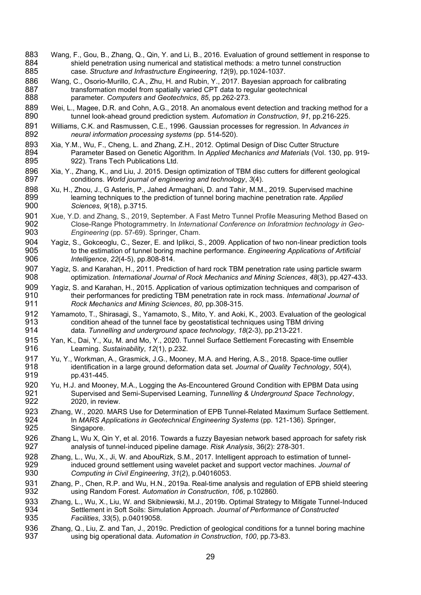- 883 Wang, F., Gou, B., Zhang, Q., Qin, Y. and Li, B., 2016. Evaluation of ground settlement in response to 884 shield penetration using numerical and statistical methods: a metro tunnel construction 884 shield penetration using numerical and statistical methods: a metro tunnel construction<br>885 case. Structure and Infrastructure Engineering. 12(9). pp.1024-1037. 885 case. *Structure and Infrastructure Engineering*, *12*(9), pp.1024-1037.
- 886 Wang, C., Osorio-Murillo, C.A., Zhu, H. and Rubin, Y., 2017. Bayesian approach for calibrating<br>887 transformation model from spatially varied CPT data to regular geotechnical 887 transformation model from spatially varied CPT data to regular geotechnical<br>888 parameter. Computers and Geotechnics, 85, pp.262-273. 888 parameter. *Computers and Geotechnics*, *85*, pp.262-273.
- 889 Wei, L., Magee, D.R. and Cohn, A.G., 2018. An anomalous event detection and tracking method for a<br>890 tunnel look-ahead ground prediction system. Automation in Construction, 91, pp.216-225. 890 tunnel look-ahead ground prediction system. *Automation in Construction*, *91*, pp.216-225.
- 891 Williams, C.K. and Rasmussen, C.E., 1996. Gaussian processes for regression. In *Advances in*  892 *neural information processing systems* (pp. 514-520).
- 893 Xia, Y.M., Wu, F., Cheng, L. and Zhang, Z.H., 2012. Optimal Design of Disc Cutter Structure<br>894 Parameter Based on Genetic Algorithm. In Applied Mechanics and Materials (Vol. 130 894 Parameter Based on Genetic Algorithm. In *Applied Mechanics and Materials* (Vol. 130, pp. 919- 922). Trans Tech Publications Ltd.
- 896 Xia, Y., Zhang, K., and Liu, J. 2015. Design optimization of TBM disc cutters for different geological conditions. World journal of engineering and technology, 3(4). 897 conditions. *World journal of engineering and technology*, *3*(4).
- 898 Xu, H., Zhou, J., G Asteris, P., Jahed Armaghani, D. and Tahir, M.M., 2019. Supervised machine<br>899 earning techniques to the prediction of tunnel boring machine penetration rate. Applied 899 learning techniques to the prediction of tunnel boring machine penetration rate. *Applied*  900 *Sciences*, *9*(18), p.3715.
- 901 Xue, Y.D. and Zhang, S., 2019, September. A Fast Metro Tunnel Profile Measuring Method Based on State on State Tunnel Profile Measuring Method Based on State Photogrammetry. In International Conference on Inforatmion t 902 Close-Range Photogrammetry. In *International Conference on Inforatmion technology in Geo-*Engineering (pp. 57-69). Springer, Cham.
- 904 Yagiz, S., Gokceoglu, C., Sezer, E. and Iplikci, S., 2009. Application of two non-linear prediction tools<br>905 to the estimation of tunnel boring machine performance. Engineering Applications of Artificial 905 to the estimation of tunnel boring machine performance. *Engineering Applications of Artificial*  906 *Intelligence*, *22*(4-5), pp.808-814.
- 907 Yagiz, S. and Karahan, H., 2011. Prediction of hard rock TBM penetration rate using particle swarm<br>908 optimization. International Journal of Rock Mechanics and Mining Sciences, 48(3), pp.427-433 908 optimization. *International Journal of Rock Mechanics and Mining Sciences*, *48*(3), pp.427-433.
- 909 Yagiz, S. and Karahan, H., 2015. Application of various optimization techniques and comparison of 910 their performances for predicting TBM penetration rate in rock mass. *International Journal of*  911 *Rock Mechanics and Mining Sciences*, *80*, pp.308-315.
- 912 Yamamoto, T., Shirasagi, S., Yamamoto, S., Mito, Y. and Aoki, K., 2003. Evaluation of the geological State Condition ahead of the tunnel face by geostatistical techniques using TBM driving 913 condition ahead of the tunnel face by geostatistical techniques using TBM driving<br>914 data. Tunnelling and underground space technology, 18(2-3), pp.213-221. 914 data. *Tunnelling and underground space technology*, *18*(2-3), pp.213-221.
- 915 Yan, K., Dai, Y., Xu, M. and Mo, Y., 2020. Tunnel Surface Settlement Forecasting with Ensemble<br>916 Learning. Sustainability, 12(1), p.232. 916 Learning. *Sustainability*, *12*(1), p.232.
- 917 Yu, Y., Workman, A., Grasmick, J.G., Mooney, M.A. and Hering, A.S., 2018. Space-time outlier<br>918 identification in a large ground deformation data set. Journal of Quality Technology. 50(4) 918 identification in a large ground deformation data set. *Journal of Quality Technology*, *50*(4), pp.431-445.
- 920 Yu, H.J. and Mooney, M.A., Logging the As-Encountered Ground Condition with EPBM Data using<br>921 Supervised and Semi-Supervised Learning. Tunnelling & Underground Space Technology. 921 Supervised and Semi-Supervised Learning, *Tunnelling & Underground Space Technology*, 2020, in review.
- 923 Zhang, W., 2020. MARS Use for Determination of EPB Tunnel-Related Maximum Surface Settlement.<br>924 In MARS Applications in Geotechnical Engineering Systems (pp. 121-136). Springer, 924 In *MARS Applications in Geotechnical Engineering Systems* (pp. 121-136). Springer, Singapore.
- 926 Zhang L, Wu X, Qin Y, et al. 2016. Towards a fuzzy Bayesian network based approach for safety risk<br>927 analysis of tunnel-induced pipeline damage. Risk Analysis. 36(2): 278-301. 927 analysis of tunnel‐induced pipeline damage. *Risk Analysis*, 36(2): 278-301.
- 928 Zhang, L., Wu, X., Ji, W. and AbouRizk, S.M., 2017. Intelligent approach to estimation of tunnel-<br>929 induced ground settlement using wavelet packet and support vector machines. Journal of 929 induced ground settlement using wavelet packet and support vector machines. *Journal of* 930 computing in Civil Engineering, 31(2), p.04016053. 930 *Computing in Civil Engineering*, *31*(2), p.04016053.
- 931 Zhang, P., Chen, R.P. and Wu, H.N., 2019a. Real-time analysis and regulation of EPB shield steering<br>932 using Random Forest. Automation in Construction. 106. p.102860. 932 using Random Forest. *Automation in Construction*, *106*, p.102860.
- 933 Zhang, L., Wu, X., Liu, W. and Skibniewski, M.J., 2019b. Optimal Strategy to Mitigate Tunnel-Induced<br>934 Settlement in Soft Soils: Simulation Approach, Journal of Performance of Constructed 934 Settlement in Soft Soils: Simulation Approach. *Journal of Performance of Constructed* 935 Facilities, 33(5), p.04019058. 935 *Facilities*, *33*(5), p.04019058.
- 936 Zhang, Q., Liu, Z. and Tan, J., 2019c. Prediction of geological conditions for a tunnel boring machine 937<br>937 using big operational data. Automation in Construction. 100. pp.73-83. 937 using big operational data. *Automation in Construction*, *100*, pp.73-83.